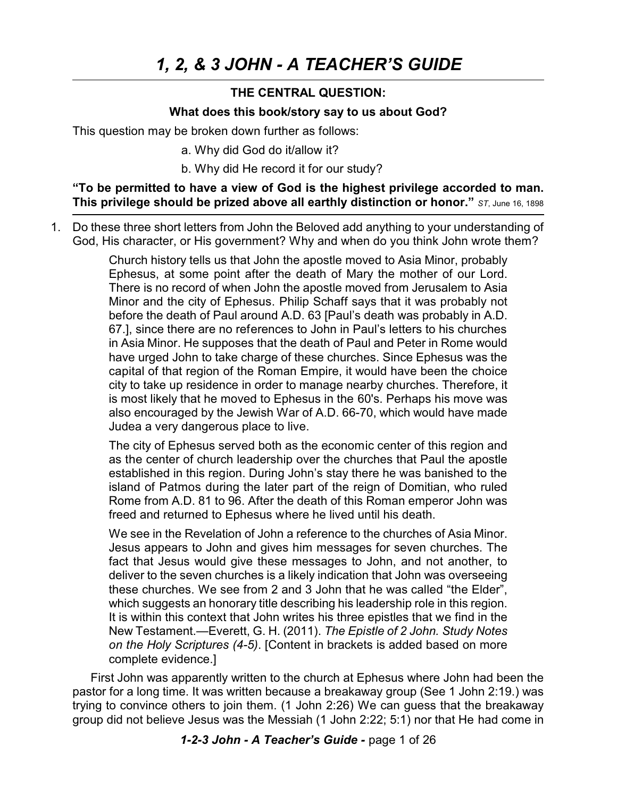# **THE CENTRAL QUESTION:**

### **What does this book/story say to us about God?**

This question may be broken down further as follows:

a. Why did God do it/allow it?

b. Why did He record it for our study?

## **"To be permitted to have a view of God is the highest privilege accorded to man. This privilege should be prized above all earthly distinction or honor."** *ST*, June 16, 1898

1. Do these three short letters from John the Beloved add anything to your understanding of God, His character, or His government? Why and when do you think John wrote them?

> Church history tells us that John the apostle moved to Asia Minor, probably Ephesus, at some point after the death of Mary the mother of our Lord. There is no record of when John the apostle moved from Jerusalem to Asia Minor and the city of Ephesus. Philip Schaff says that it was probably not before the death of Paul around A.D. 63 [Paul's death was probably in A.D. 67.], since there are no references to John in Paul's letters to his churches in Asia Minor. He supposes that the death of Paul and Peter in Rome would have urged John to take charge of these churches. Since Ephesus was the capital of that region of the Roman Empire, it would have been the choice city to take up residence in order to manage nearby churches. Therefore, it is most likely that he moved to Ephesus in the 60's. Perhaps his move was also encouraged by the Jewish War of A.D. 66-70, which would have made Judea a very dangerous place to live.

> The city of Ephesus served both as the economic center of this region and as the center of church leadership over the churches that Paul the apostle established in this region. During John's stay there he was banished to the island of Patmos during the later part of the reign of Domitian, who ruled Rome from A.D. 81 to 96. After the death of this Roman emperor John was freed and returned to Ephesus where he lived until his death.

> We see in the Revelation of John a reference to the churches of Asia Minor. Jesus appears to John and gives him messages for seven churches. The fact that Jesus would give these messages to John, and not another, to deliver to the seven churches is a likely indication that John was overseeing these churches. We see from 2 and 3 John that he was called "the Elder", which suggests an honorary title describing his leadership role in this region. It is within this context that John writes his three epistles that we find in the New Testament.—Everett, G. H. (2011). *The Epistle of 2 John. Study Notes on the Holy Scriptures (4-5)*. [Content in brackets is added based on more complete evidence.]

First John was apparently written to the church at Ephesus where John had been the pastor for a long time. It was written because a breakaway group (See 1 John 2:19.) was trying to convince others to join them. (1 John 2:26) We can guess that the breakaway group did not believe Jesus was the Messiah (1 John 2:22; 5:1) nor that He had come in

*1-2-3 John - A Teacher's Guide -* page 1 of 26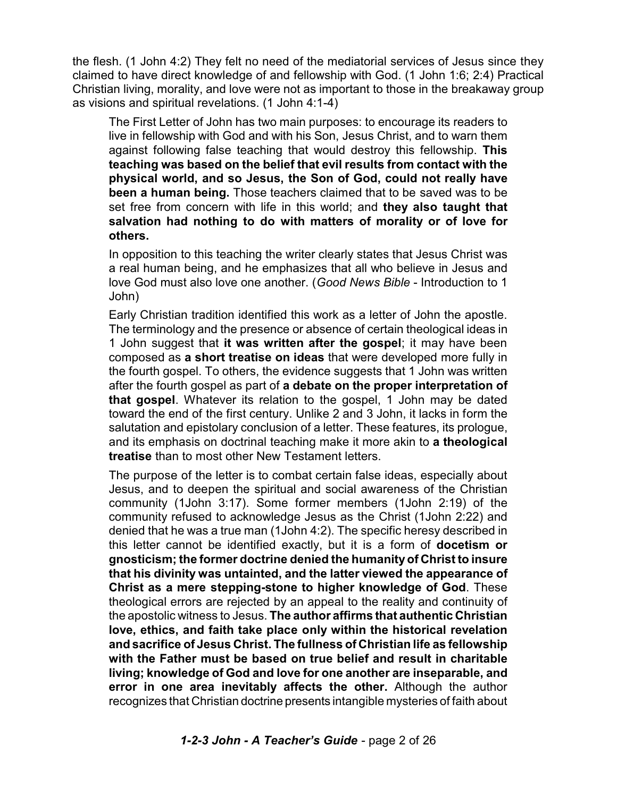the flesh. (1 John 4:2) They felt no need of the mediatorial services of Jesus since they claimed to have direct knowledge of and fellowship with God. (1 John 1:6; 2:4) Practical Christian living, morality, and love were not as important to those in the breakaway group as visions and spiritual revelations. (1 John 4:1-4)

The First Letter of John has two main purposes: to encourage its readers to live in fellowship with God and with his Son, Jesus Christ, and to warn them against following false teaching that would destroy this fellowship. **This teaching was based on the belief that evil results from contact with the physical world, and so Jesus, the Son of God, could not really have been a human being.** Those teachers claimed that to be saved was to be set free from concern with life in this world; and **they also taught that salvation had nothing to do with matters of morality or of love for others.**

In opposition to this teaching the writer clearly states that Jesus Christ was a real human being, and he emphasizes that all who believe in Jesus and love God must also love one another. (*Good News Bible* - Introduction to 1 John)

Early Christian tradition identified this work as a letter of John the apostle. The terminology and the presence or absence of certain theological ideas in 1 John suggest that **it was written after the gospel**; it may have been composed as **a short treatise on ideas** that were developed more fully in the fourth gospel. To others, the evidence suggests that 1 John was written after the fourth gospel as part of **a debate on the proper interpretation of that gospel**. Whatever its relation to the gospel, 1 John may be dated toward the end of the first century. Unlike 2 and 3 John, it lacks in form the salutation and epistolary conclusion of a letter. These features, its prologue, and its emphasis on doctrinal teaching make it more akin to **a theological treatise** than to most other New Testament letters.

The purpose of the letter is to combat certain false ideas, especially about Jesus, and to deepen the spiritual and social awareness of the Christian community (1John 3:17). Some former members (1John 2:19) of the community refused to acknowledge Jesus as the Christ (1John 2:22) and denied that he was a true man (1John 4:2). The specific heresy described in this letter cannot be identified exactly, but it is a form of **docetism or gnosticism; the former doctrine denied the humanity of Christ to insure that his divinity was untainted, and the latter viewed the appearance of Christ as a mere stepping-stone to higher knowledge of God**. These theological errors are rejected by an appeal to the reality and continuity of the apostolic witness to Jesus. **The author affirms that authentic Christian love, ethics, and faith take place only within the historical revelation and sacrifice of Jesus Christ. The fullness of Christian life as fellowship with the Father must be based on true belief and result in charitable living; knowledge of God and love for one another are inseparable, and error in one area inevitably affects the other.** Although the author recognizes that Christian doctrine presents intangible mysteries of faith about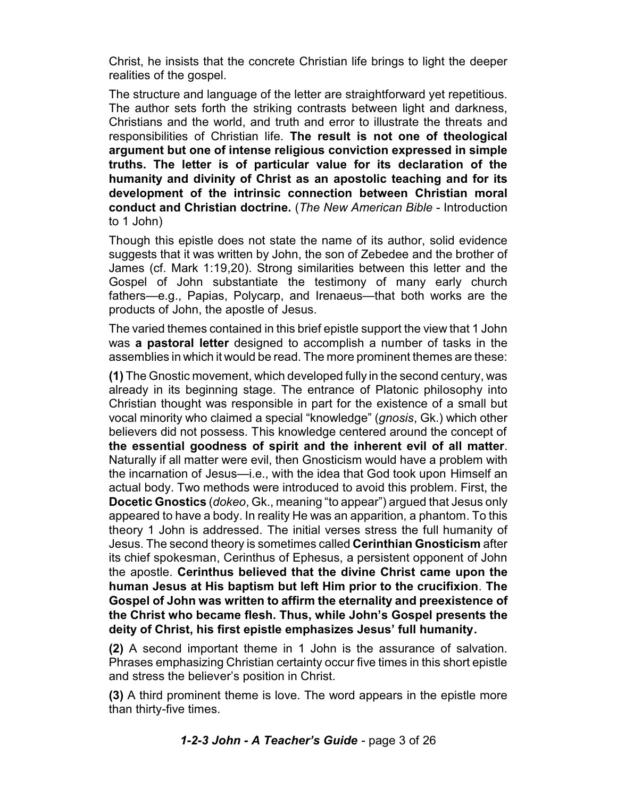Christ, he insists that the concrete Christian life brings to light the deeper realities of the gospel.

The structure and language of the letter are straightforward yet repetitious. The author sets forth the striking contrasts between light and darkness, Christians and the world, and truth and error to illustrate the threats and responsibilities of Christian life. **The result is not one of theological argument but one of intense religious conviction expressed in simple truths. The letter is of particular value for its declaration of the humanity and divinity of Christ as an apostolic teaching and for its development of the intrinsic connection between Christian moral conduct and Christian doctrine.** (*The New American Bible* - Introduction to 1 John)

Though this epistle does not state the name of its author, solid evidence suggests that it was written by John, the son of Zebedee and the brother of James (cf. Mark 1:19,20). Strong similarities between this letter and the Gospel of John substantiate the testimony of many early church fathers—e.g., Papias, Polycarp, and Irenaeus—that both works are the products of John, the apostle of Jesus.

The varied themes contained in this brief epistle support the view that 1 John was **a pastoral letter** designed to accomplish a number of tasks in the assemblies in which it would be read. The more prominent themes are these:

**(1)** The Gnostic movement, which developed fully in the second century, was already in its beginning stage. The entrance of Platonic philosophy into Christian thought was responsible in part for the existence of a small but vocal minority who claimed a special "knowledge" (*gnosis*, Gk.) which other believers did not possess. This knowledge centered around the concept of **the essential goodness of spirit and the inherent evil of all matter**. Naturally if all matter were evil, then Gnosticism would have a problem with the incarnation of Jesus—i.e., with the idea that God took upon Himself an actual body. Two methods were introduced to avoid this problem. First, the **Docetic Gnostics** (*dokeo*, Gk., meaning "to appear") argued that Jesus only appeared to have a body. In reality He was an apparition, a phantom. To this theory 1 John is addressed. The initial verses stress the full humanity of Jesus. The second theory is sometimes called **Cerinthian Gnosticism** after its chief spokesman, Cerinthus of Ephesus, a persistent opponent of John the apostle. **Cerinthus believed that the divine Christ came upon the human Jesus at His baptism but left Him prior to the crucifixion**. **The Gospel of John was written to affirm the eternality and preexistence of the Christ who became flesh. Thus, while John's Gospel presents the deity of Christ, his first epistle emphasizes Jesus' full humanity.**

**(2)** A second important theme in 1 John is the assurance of salvation. Phrases emphasizing Christian certainty occur five times in this short epistle and stress the believer's position in Christ.

**(3)** A third prominent theme is love. The word appears in the epistle more than thirty-five times.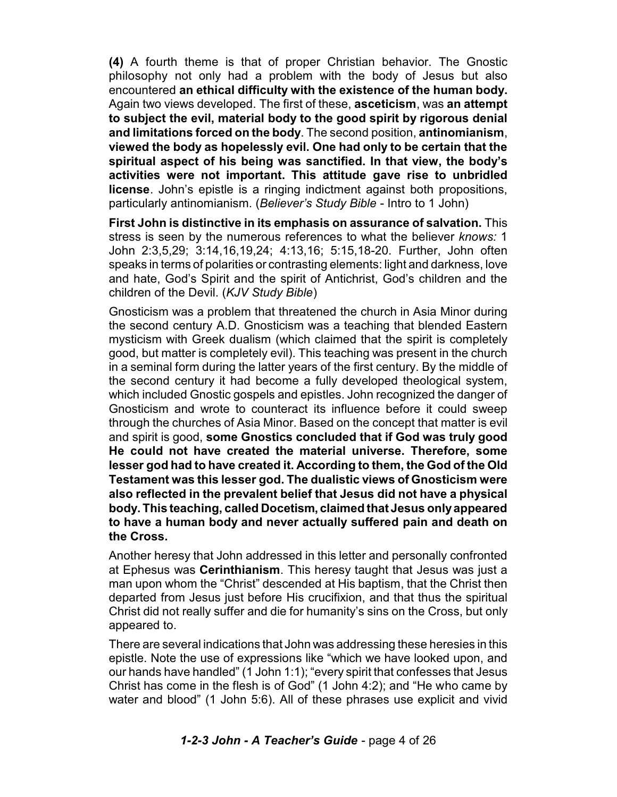**(4)** A fourth theme is that of proper Christian behavior. The Gnostic philosophy not only had a problem with the body of Jesus but also encountered **an ethical difficulty with the existence of the human body.** Again two views developed. The first of these, **asceticism**, was **an attempt to subject the evil, material body to the good spirit by rigorous denial and limitations forced on the body**. The second position, **antinomianism**, **viewed the body as hopelessly evil. One had only to be certain that the spiritual aspect of his being was sanctified. In that view, the body's activities were not important. This attitude gave rise to unbridled license**. John's epistle is a ringing indictment against both propositions, particularly antinomianism. (*Believer's Study Bible* - Intro to 1 John)

**First John is distinctive in its emphasis on assurance of salvation.** This stress is seen by the numerous references to what the believer *knows:* 1 John 2:3,5,29; 3:14,16,19,24; 4:13,16; 5:15,18-20. Further, John often speaks in terms of polarities or contrasting elements: light and darkness, love and hate, God's Spirit and the spirit of Antichrist, God's children and the children of the Devil. (*KJV Study Bible*)

Gnosticism was a problem that threatened the church in Asia Minor during the second century A.D. Gnosticism was a teaching that blended Eastern mysticism with Greek dualism (which claimed that the spirit is completely good, but matter is completely evil). This teaching was present in the church in a seminal form during the latter years of the first century. By the middle of the second century it had become a fully developed theological system, which included Gnostic gospels and epistles. John recognized the danger of Gnosticism and wrote to counteract its influence before it could sweep through the churches of Asia Minor. Based on the concept that matter is evil and spirit is good, **some Gnostics concluded that if God was truly good He could not have created the material universe. Therefore, some lesser god had to have created it. According to them, the God of the Old Testament was this lesser god. The dualistic views of Gnosticism were also reflected in the prevalent belief that Jesus did not have a physical body. This teaching, called Docetism, claimed that Jesus onlyappeared to have a human body and never actually suffered pain and death on the Cross.**

Another heresy that John addressed in this letter and personally confronted at Ephesus was **Cerinthianism**. This heresy taught that Jesus was just a man upon whom the "Christ" descended at His baptism, that the Christ then departed from Jesus just before His crucifixion, and that thus the spiritual Christ did not really suffer and die for humanity's sins on the Cross, but only appeared to.

There are several indications that John was addressing these heresies in this epistle. Note the use of expressions like "which we have looked upon, and our hands have handled" (1 John 1:1); "every spirit that confesses that Jesus Christ has come in the flesh is of God" (1 John 4:2); and "He who came by water and blood" (1 John 5:6). All of these phrases use explicit and vivid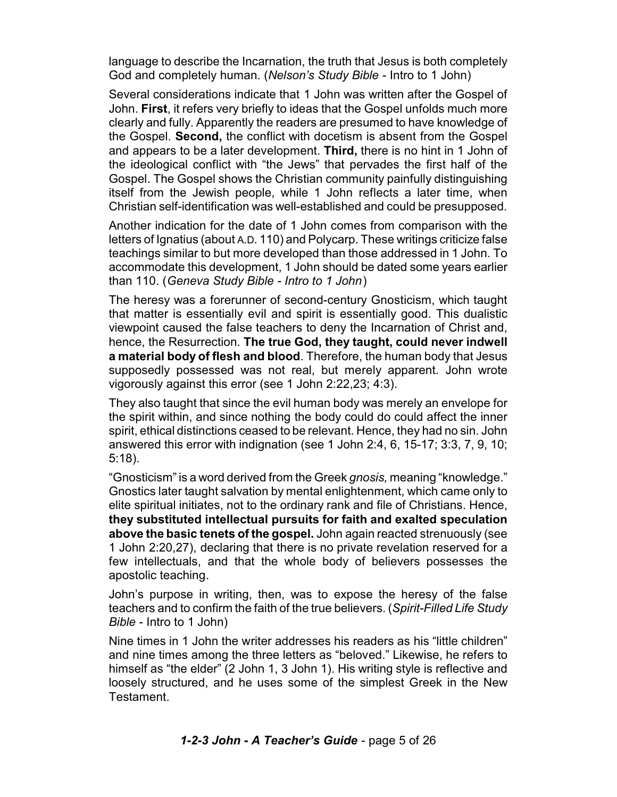language to describe the Incarnation, the truth that Jesus is both completely God and completely human. (*Nelson's Study Bible* - Intro to 1 John)

Several considerations indicate that 1 John was written after the Gospel of John. **First**, it refers very briefly to ideas that the Gospel unfolds much more clearly and fully. Apparently the readers are presumed to have knowledge of the Gospel. **Second,** the conflict with docetism is absent from the Gospel and appears to be a later development. **Third,** there is no hint in 1 John of the ideological conflict with "the Jews" that pervades the first half of the Gospel. The Gospel shows the Christian community painfully distinguishing itself from the Jewish people, while 1 John reflects a later time, when Christian self-identification was well-established and could be presupposed.

Another indication for the date of 1 John comes from comparison with the letters of Ignatius (about A.D. 110) and Polycarp. These writings criticize false teachings similar to but more developed than those addressed in 1 John. To accommodate this development, 1 John should be dated some years earlier than 110. (*Geneva Study Bible - Intro to 1 John*)

The heresy was a forerunner of second-century Gnosticism, which taught that matter is essentially evil and spirit is essentially good. This dualistic viewpoint caused the false teachers to deny the Incarnation of Christ and, hence, the Resurrection. **The true God, they taught, could never indwell a material body of flesh and blood**. Therefore, the human body that Jesus supposedly possessed was not real, but merely apparent. John wrote vigorously against this error (see 1 John 2:22,23; 4:3).

They also taught that since the evil human body was merely an envelope for the spirit within, and since nothing the body could do could affect the inner spirit, ethical distinctions ceased to be relevant. Hence, they had no sin. John answered this error with indignation (see 1 John 2:4, 6, 15-17; 3:3, 7, 9, 10; 5:18).

"Gnosticism" is a word derived from the Greek *gnosis,* meaning "knowledge." Gnostics later taught salvation by mental enlightenment, which came only to elite spiritual initiates, not to the ordinary rank and file of Christians. Hence, **they substituted intellectual pursuits for faith and exalted speculation above the basic tenets of the gospel.** John again reacted strenuously (see 1 John 2:20,27), declaring that there is no private revelation reserved for a few intellectuals, and that the whole body of believers possesses the apostolic teaching.

John's purpose in writing, then, was to expose the heresy of the false teachers and to confirm the faith of the true believers. (*Spirit-Filled Life Study Bible* - Intro to 1 John)

Nine times in 1 John the writer addresses his readers as his "little children" and nine times among the three letters as "beloved." Likewise, he refers to himself as "the elder" (2 John 1, 3 John 1). His writing style is reflective and loosely structured, and he uses some of the simplest Greek in the New Testament.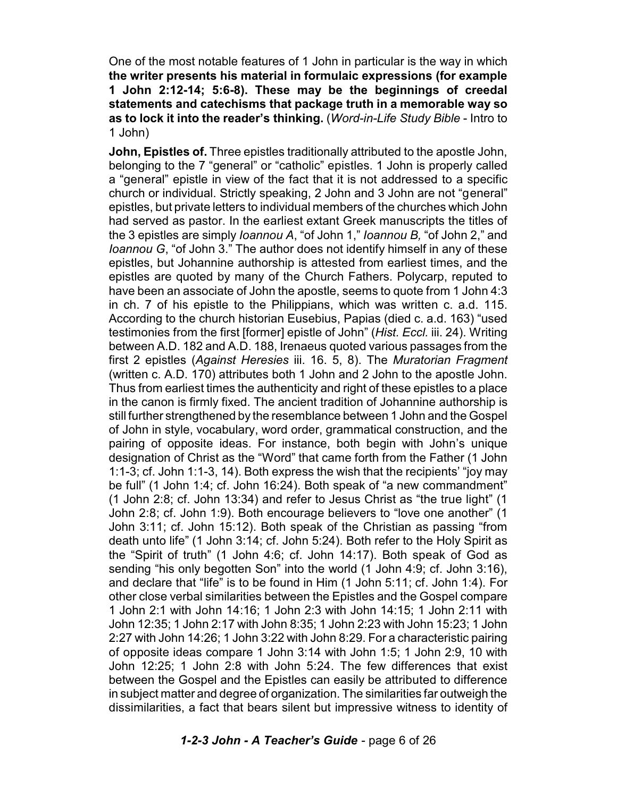One of the most notable features of 1 John in particular is the way in which **the writer presents his material in formulaic expressions (for example 1 John 2:12-14; 5:6-8). These may be the beginnings of creedal statements and catechisms that package truth in a memorable way so as to lock it into the reader's thinking.** (*Word-in-Life Study Bible* - Intro to 1 John)

**John, Epistles of.** Three epistles traditionally attributed to the apostle John, belonging to the 7 "general" or "catholic" epistles. 1 John is properly called a "general" epistle in view of the fact that it is not addressed to a specific church or individual. Strictly speaking, 2 John and 3 John are not "general" epistles, but private letters to individual members of the churches which John had served as pastor. In the earliest extant Greek manuscripts the titles of the 3 epistles are simply *Ioannou A*, "of John 1," *Ioannou B,* "of John 2," and *Ioannou G*, "of John 3." The author does not identify himself in any of these epistles, but Johannine authorship is attested from earliest times, and the epistles are quoted by many of the Church Fathers. Polycarp, reputed to have been an associate of John the apostle, seems to quote from 1 John 4:3 in ch. 7 of his epistle to the Philippians, which was written c. a.d. 115. According to the church historian Eusebius, Papias (died c. a.d. 163) "used testimonies from the first [former] epistle of John" (*Hist. Eccl.* iii. 24). Writing between A.D. 182 and A.D. 188, Irenaeus quoted various passages from the first 2 epistles (*Against Heresies* iii. 16. 5, 8). The *Muratorian Fragment* (written c. A.D. 170) attributes both 1 John and 2 John to the apostle John. Thus from earliest times the authenticity and right of these epistles to a place in the canon is firmly fixed. The ancient tradition of Johannine authorship is still further strengthened by the resemblance between 1 John and the Gospel of John in style, vocabulary, word order, grammatical construction, and the pairing of opposite ideas. For instance, both begin with John's unique designation of Christ as the "Word" that came forth from the Father (1 John 1:1-3; cf. John 1:1-3, 14). Both express the wish that the recipients' "joy may be full" (1 John 1:4; cf. John 16:24). Both speak of "a new commandment" (1 John 2:8; cf. John 13:34) and refer to Jesus Christ as "the true light" (1 John 2:8; cf. John 1:9). Both encourage believers to "love one another" (1 John 3:11; cf. John 15:12). Both speak of the Christian as passing "from death unto life" (1 John 3:14; cf. John 5:24). Both refer to the Holy Spirit as the "Spirit of truth" (1 John 4:6; cf. John 14:17). Both speak of God as sending "his only begotten Son" into the world (1 John 4:9; cf. John 3:16), and declare that "life" is to be found in Him (1 John 5:11; cf. John 1:4). For other close verbal similarities between the Epistles and the Gospel compare 1 John 2:1 with John 14:16; 1 John 2:3 with John 14:15; 1 John 2:11 with John 12:35; 1 John 2:17 with John 8:35; 1 John 2:23 with John 15:23; 1 John 2:27 with John 14:26; 1 John 3:22 with John 8:29. For a characteristic pairing of opposite ideas compare 1 John 3:14 with John 1:5; 1 John 2:9, 10 with John 12:25; 1 John 2:8 with John 5:24. The few differences that exist between the Gospel and the Epistles can easily be attributed to difference in subject matter and degree of organization. The similarities far outweigh the dissimilarities, a fact that bears silent but impressive witness to identity of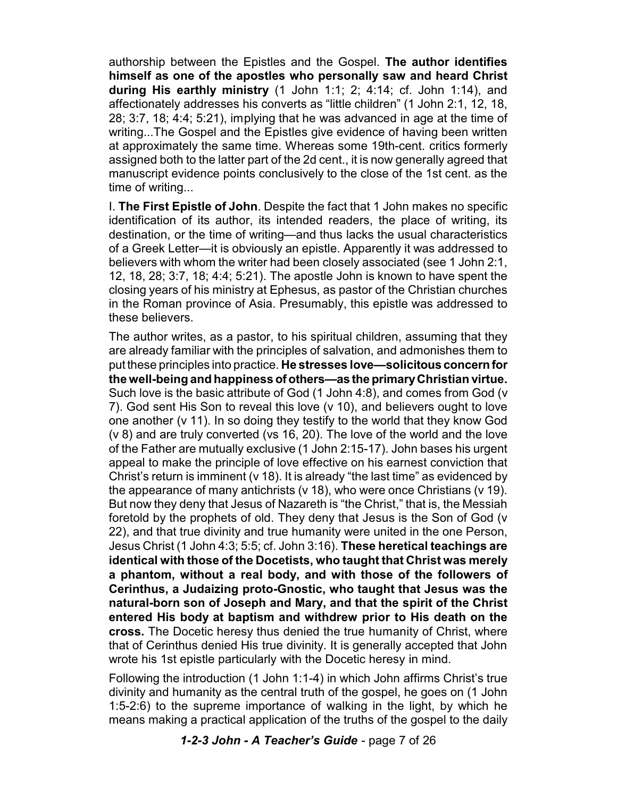authorship between the Epistles and the Gospel. **The author identifies himself as one of the apostles who personally saw and heard Christ during His earthly ministry** (1 John 1:1; 2; 4:14; cf. John 1:14), and affectionately addresses his converts as "little children" (1 John 2:1, 12, 18, 28; 3:7, 18; 4:4; 5:21), implying that he was advanced in age at the time of writing...The Gospel and the Epistles give evidence of having been written at approximately the same time. Whereas some 19th-cent. critics formerly assigned both to the latter part of the 2d cent., it is now generally agreed that manuscript evidence points conclusively to the close of the 1st cent. as the time of writing...

I. **The First Epistle of John**. Despite the fact that 1 John makes no specific identification of its author, its intended readers, the place of writing, its destination, or the time of writing—and thus lacks the usual characteristics of a Greek Letter—it is obviously an epistle. Apparently it was addressed to believers with whom the writer had been closely associated (see 1 John 2:1, 12, 18, 28; 3:7, 18; 4:4; 5:21). The apostle John is known to have spent the closing years of his ministry at Ephesus, as pastor of the Christian churches in the Roman province of Asia. Presumably, this epistle was addressed to these believers.

The author writes, as a pastor, to his spiritual children, assuming that they are already familiar with the principles of salvation, and admonishes them to put these principles into practice. **He stresses love—solicitous concernfor the well-being and happiness ofothers—as the primaryChristian virtue.** Such love is the basic attribute of God (1 John 4:8), and comes from God (v 7). God sent His Son to reveal this love (v 10), and believers ought to love one another (v 11). In so doing they testify to the world that they know God (v 8) and are truly converted (vs 16, 20). The love of the world and the love of the Father are mutually exclusive (1 John 2:15-17). John bases his urgent appeal to make the principle of love effective on his earnest conviction that Christ's return is imminent (v 18). It is already "the last time" as evidenced by the appearance of many antichrists (v 18), who were once Christians (v 19). But now they deny that Jesus of Nazareth is "the Christ," that is, the Messiah foretold by the prophets of old. They deny that Jesus is the Son of God (v 22), and that true divinity and true humanity were united in the one Person, Jesus Christ (1 John 4:3; 5:5; cf. John 3:16). **These heretical teachings are identical with those of the Docetists, who taught that Christ was merely a phantom, without a real body, and with those of the followers of Cerinthus, a Judaizing proto-Gnostic, who taught that Jesus was the natural-born son of Joseph and Mary, and that the spirit of the Christ entered His body at baptism and withdrew prior to His death on the cross.** The Docetic heresy thus denied the true humanity of Christ, where that of Cerinthus denied His true divinity. It is generally accepted that John wrote his 1st epistle particularly with the Docetic heresy in mind.

Following the introduction (1 John 1:1-4) in which John affirms Christ's true divinity and humanity as the central truth of the gospel, he goes on (1 John 1:5-2:6) to the supreme importance of walking in the light, by which he means making a practical application of the truths of the gospel to the daily

*1-2-3 John - A Teacher's Guide* - page 7 of 26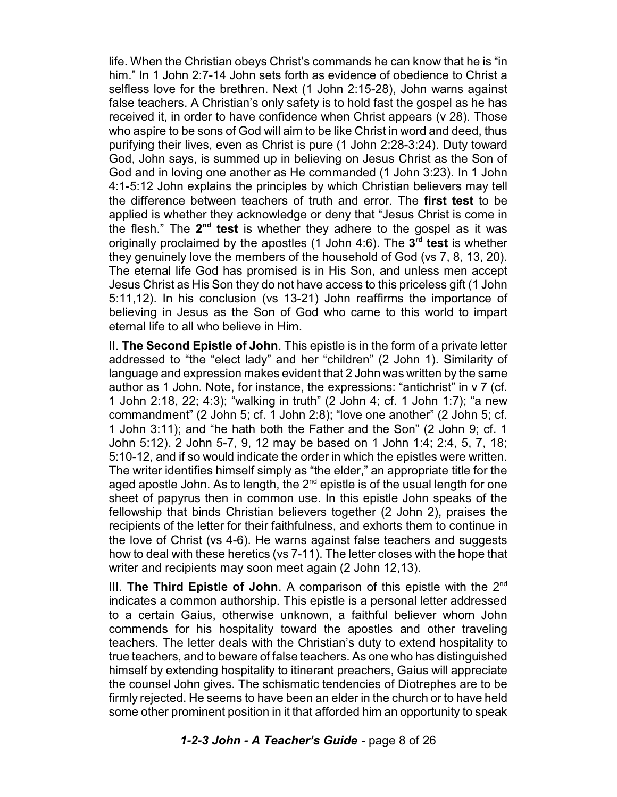life. When the Christian obeys Christ's commands he can know that he is "in him." In 1 John 2:7-14 John sets forth as evidence of obedience to Christ a selfless love for the brethren. Next (1 John 2:15-28), John warns against false teachers. A Christian's only safety is to hold fast the gospel as he has received it, in order to have confidence when Christ appears (v 28). Those who aspire to be sons of God will aim to be like Christ in word and deed, thus purifying their lives, even as Christ is pure (1 John 2:28-3:24). Duty toward God, John says, is summed up in believing on Jesus Christ as the Son of God and in loving one another as He commanded (1 John 3:23). In 1 John 4:1-5:12 John explains the principles by which Christian believers may tell the difference between teachers of truth and error. The **first test** to be applied is whether they acknowledge or deny that "Jesus Christ is come in the flesh." The 2<sup>nd</sup> test is whether they adhere to the gospel as it was originally proclaimed by the apostles (1 John 4:6). The **3 rd test** is whether they genuinely love the members of the household of God (vs 7, 8, 13, 20). The eternal life God has promised is in His Son, and unless men accept Jesus Christ as His Son they do not have access to this priceless gift (1 John 5:11,12). In his conclusion (vs 13-21) John reaffirms the importance of believing in Jesus as the Son of God who came to this world to impart eternal life to all who believe in Him.

II. **The Second Epistle of John**. This epistle is in the form of a private letter addressed to "the "elect lady" and her "children" (2 John 1). Similarity of language and expression makes evident that 2 John was written by the same author as 1 John. Note, for instance, the expressions: "antichrist" in v 7 (cf. 1 John 2:18, 22; 4:3); "walking in truth" (2 John 4; cf. 1 John 1:7); "a new commandment" (2 John 5; cf. 1 John 2:8); "love one another" (2 John 5; cf. 1 John 3:11); and "he hath both the Father and the Son" (2 John 9; cf. 1 John 5:12). 2 John 5-7, 9, 12 may be based on 1 John 1:4; 2:4, 5, 7, 18; 5:10-12, and if so would indicate the order in which the epistles were written. The writer identifies himself simply as "the elder," an appropriate title for the aged apostle John. As to length, the 2 $^{\text{nd}}$  epistle is of the usual length for one sheet of papyrus then in common use. In this epistle John speaks of the fellowship that binds Christian believers together (2 John 2), praises the recipients of the letter for their faithfulness, and exhorts them to continue in the love of Christ (vs 4-6). He warns against false teachers and suggests how to deal with these heretics (vs 7-11). The letter closes with the hope that writer and recipients may soon meet again (2 John 12,13).

III. The Third Epistle of John. A comparison of this epistle with the  $2<sup>nd</sup>$ indicates a common authorship. This epistle is a personal letter addressed to a certain Gaius, otherwise unknown, a faithful believer whom John commends for his hospitality toward the apostles and other traveling teachers. The letter deals with the Christian's duty to extend hospitality to true teachers, and to beware of false teachers. As one who has distinguished himself by extending hospitality to itinerant preachers, Gaius will appreciate the counsel John gives. The schismatic tendencies of Diotrephes are to be firmly rejected. He seems to have been an elder in the church or to have held some other prominent position in it that afforded him an opportunity to speak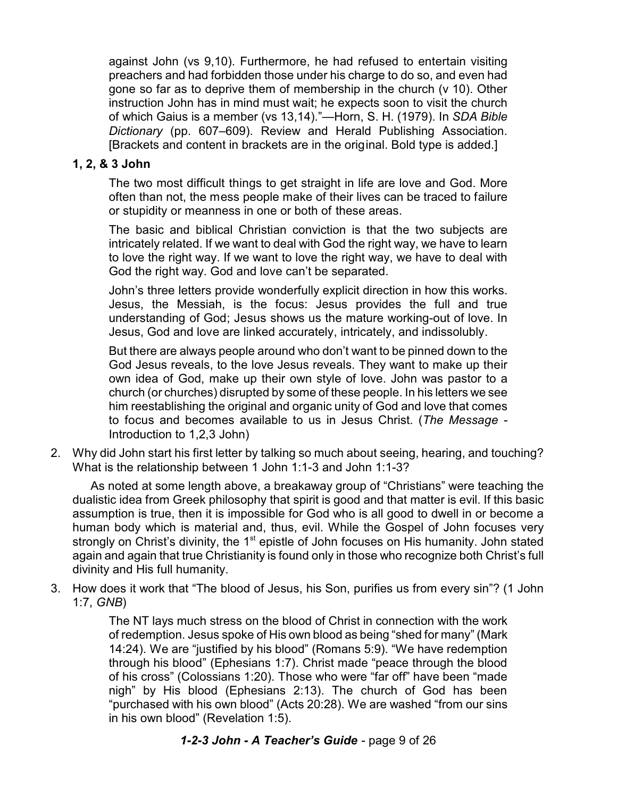against John (vs 9,10). Furthermore, he had refused to entertain visiting preachers and had forbidden those under his charge to do so, and even had gone so far as to deprive them of membership in the church (v 10). Other instruction John has in mind must wait; he expects soon to visit the church of which Gaius is a member (vs 13,14)."—Horn, S. H. (1979). In *SDA Bible Dictionary* (pp. 607–609). Review and Herald Publishing Association. [Brackets and content in brackets are in the original. Bold type is added.]

# **1, 2, & 3 John**

The two most difficult things to get straight in life are love and God. More often than not, the mess people make of their lives can be traced to failure or stupidity or meanness in one or both of these areas.

The basic and biblical Christian conviction is that the two subjects are intricately related. If we want to deal with God the right way, we have to learn to love the right way. If we want to love the right way, we have to deal with God the right way. God and love can't be separated.

John's three letters provide wonderfully explicit direction in how this works. Jesus, the Messiah, is the focus: Jesus provides the full and true understanding of God; Jesus shows us the mature working-out of love. In Jesus, God and love are linked accurately, intricately, and indissolubly.

But there are always people around who don't want to be pinned down to the God Jesus reveals, to the love Jesus reveals. They want to make up their own idea of God, make up their own style of love. John was pastor to a church (or churches) disrupted by some of these people. In his letters we see him reestablishing the original and organic unity of God and love that comes to focus and becomes available to us in Jesus Christ. (*The Message* - Introduction to 1,2,3 John)

2. Why did John start his first letter by talking so much about seeing, hearing, and touching? What is the relationship between 1 John 1:1-3 and John 1:1-3?

As noted at some length above, a breakaway group of "Christians" were teaching the dualistic idea from Greek philosophy that spirit is good and that matter is evil. If this basic assumption is true, then it is impossible for God who is all good to dwell in or become a human body which is material and, thus, evil. While the Gospel of John focuses very strongly on Christ's divinity, the 1<sup>st</sup> epistle of John focuses on His humanity. John stated again and again that true Christianity is found only in those who recognize both Christ's full divinity and His full humanity.

3. How does it work that "The blood of Jesus, his Son, purifies us from every sin"? (1 John 1:7, *GNB*)

> The NT lays much stress on the blood of Christ in connection with the work of redemption. Jesus spoke of His own blood as being "shed for many" (Mark 14:24). We are "justified by his blood" (Romans 5:9). "We have redemption through his blood" (Ephesians 1:7). Christ made "peace through the blood of his cross" (Colossians 1:20). Those who were "far off" have been "made nigh" by His blood (Ephesians 2:13). The church of God has been "purchased with his own blood" (Acts 20:28). We are washed "from our sins in his own blood" (Revelation 1:5).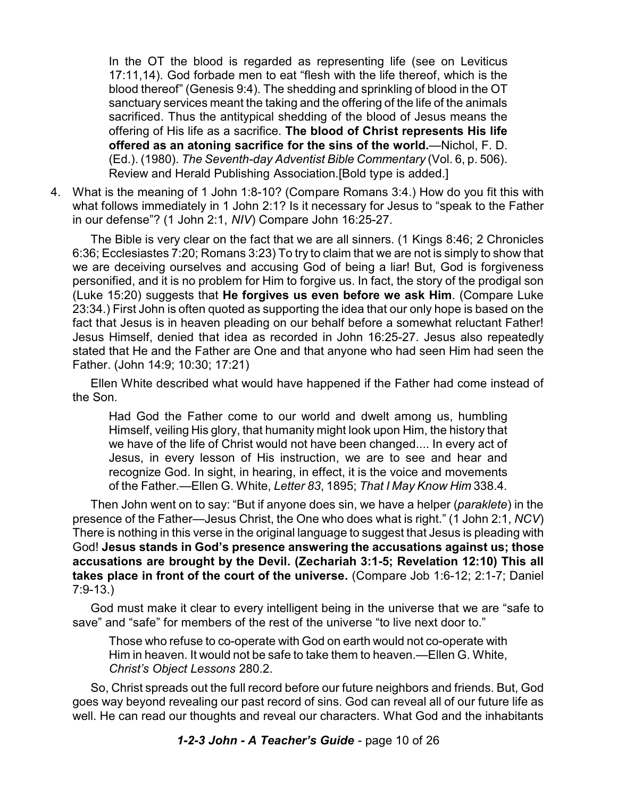In the OT the blood is regarded as representing life (see on Leviticus 17:11,14). God forbade men to eat "flesh with the life thereof, which is the blood thereof" (Genesis 9:4). The shedding and sprinkling of blood in the OT sanctuary services meant the taking and the offering of the life of the animals sacrificed. Thus the antitypical shedding of the blood of Jesus means the offering of His life as a sacrifice. **The blood of Christ represents His life offered as an atoning sacrifice for the sins of the world.**—Nichol, F. D. (Ed.). (1980). *The Seventh-day Adventist Bible Commentary* (Vol. 6, p. 506). Review and Herald Publishing Association.[Bold type is added.]

4. What is the meaning of 1 John 1:8-10? (Compare Romans 3:4.) How do you fit this with what follows immediately in 1 John 2:1? Is it necessary for Jesus to "speak to the Father in our defense"? (1 John 2:1, *NIV*) Compare John 16:25-27.

The Bible is very clear on the fact that we are all sinners. (1 Kings 8:46; 2 Chronicles 6:36; Ecclesiastes 7:20; Romans 3:23) To try to claim that we are not is simply to show that we are deceiving ourselves and accusing God of being a liar! But, God is forgiveness personified, and it is no problem for Him to forgive us. In fact, the story of the prodigal son (Luke 15:20) suggests that **He forgives us even before we ask Him**. (Compare Luke 23:34.) First John is often quoted as supporting the idea that our only hope is based on the fact that Jesus is in heaven pleading on our behalf before a somewhat reluctant Father! Jesus Himself, denied that idea as recorded in John 16:25-27. Jesus also repeatedly stated that He and the Father are One and that anyone who had seen Him had seen the Father. (John 14:9; 10:30; 17:21)

Ellen White described what would have happened if the Father had come instead of the Son.

Had God the Father come to our world and dwelt among us, humbling Himself, veiling His glory, that humanity might look upon Him, the history that we have of the life of Christ would not have been changed.... In every act of Jesus, in every lesson of His instruction, we are to see and hear and recognize God. In sight, in hearing, in effect, it is the voice and movements of the Father.—Ellen G. White, *Letter 83*, 1895; *That I May Know Him* 338.4.

Then John went on to say: "But if anyone does sin, we have a helper (*paraklete*) in the presence of the Father—Jesus Christ, the One who does what is right." (1 John 2:1, *NCV*) There is nothing in this verse in the original language to suggest that Jesus is pleading with God! **Jesus stands in God's presence answering the accusations against us; those accusations are brought by the Devil. (Zechariah 3:1-5; Revelation 12:10) This all takes place in front of the court of the universe.** (Compare Job 1:6-12; 2:1-7; Daniel 7:9-13.)

God must make it clear to every intelligent being in the universe that we are "safe to save" and "safe" for members of the rest of the universe "to live next door to."

Those who refuse to co-operate with God on earth would not co-operate with Him in heaven. It would not be safe to take them to heaven.—Ellen G. White, *Christ's Object Lessons* 280.2.

So, Christ spreads out the full record before our future neighbors and friends. But, God goes way beyond revealing our past record of sins. God can reveal all of our future life as well. He can read our thoughts and reveal our characters. What God and the inhabitants

*1-2-3 John - A Teacher's Guide* - page 10 of 26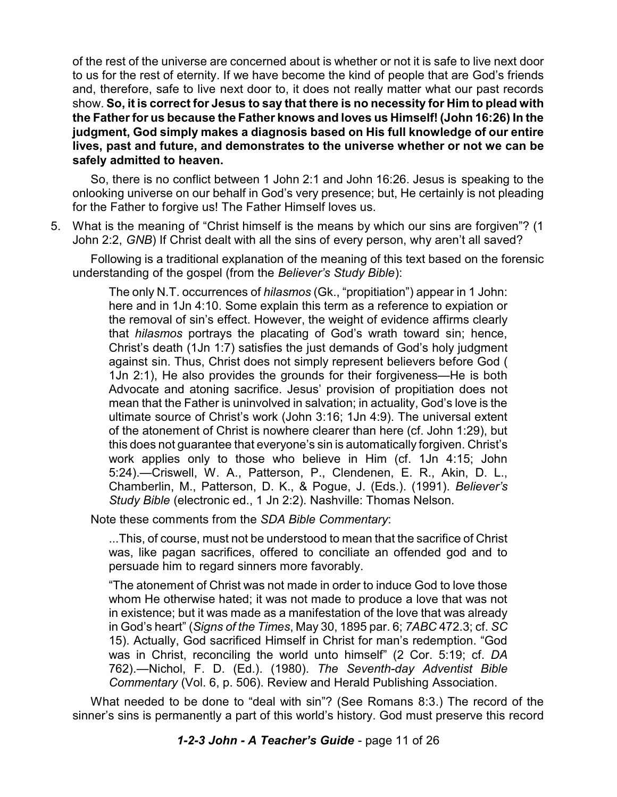of the rest of the universe are concerned about is whether or not it is safe to live next door to us for the rest of eternity. If we have become the kind of people that are God's friends and, therefore, safe to live next door to, it does not really matter what our past records show. **So, it is correct for Jesus to say that there is no necessity for Him to plead with the Father for us because the Father knows and loves us Himself! (John 16:26) In the judgment, God simply makes a diagnosis based on His full knowledge of our entire lives, past and future, and demonstrates to the universe whether or not we can be safely admitted to heaven.**

So, there is no conflict between 1 John 2:1 and John 16:26. Jesus is speaking to the onlooking universe on our behalf in God's very presence; but, He certainly is not pleading for the Father to forgive us! The Father Himself loves us.

5. What is the meaning of "Christ himself is the means by which our sins are forgiven"? (1 John 2:2, *GNB*) If Christ dealt with all the sins of every person, why aren't all saved?

Following is a traditional explanation of the meaning of this text based on the forensic understanding of the gospel (from the *Believer's Study Bible*):

The only N.T. occurrences of *hilasmos* (Gk., "propitiation") appear in 1 John: here and in 1Jn 4:10. Some explain this term as a reference to expiation or the removal of sin's effect. However, the weight of evidence affirms clearly that *hilasmos* portrays the placating of God's wrath toward sin; hence, Christ's death (1Jn 1:7) satisfies the just demands of God's holy judgment against sin. Thus, Christ does not simply represent believers before God ( 1Jn 2:1), He also provides the grounds for their forgiveness—He is both Advocate and atoning sacrifice. Jesus' provision of propitiation does not mean that the Father is uninvolved in salvation; in actuality, God's love is the ultimate source of Christ's work (John 3:16; 1Jn 4:9). The universal extent of the atonement of Christ is nowhere clearer than here (cf. John 1:29), but this does not guarantee that everyone's sin is automatically forgiven. Christ's work applies only to those who believe in Him (cf. 1Jn 4:15; John 5:24).—Criswell, W. A., Patterson, P., Clendenen, E. R., Akin, D. L., Chamberlin, M., Patterson, D. K., & Pogue, J. (Eds.). (1991). *Believer's Study Bible* (electronic ed., 1 Jn 2:2). Nashville: Thomas Nelson.

Note these comments from the *SDA Bible Commentary*:

...This, of course, must not be understood to mean that the sacrifice of Christ was, like pagan sacrifices, offered to conciliate an offended god and to persuade him to regard sinners more favorably.

"The atonement of Christ was not made in order to induce God to love those whom He otherwise hated; it was not made to produce a love that was not in existence; but it was made as a manifestation of the love that was already in God's heart" (*Signs of the Times*, May 30, 1895 par. 6; *7ABC* 472.3; cf. *SC* 15). Actually, God sacrificed Himself in Christ for man's redemption. "God was in Christ, reconciling the world unto himself" (2 Cor. 5:19; cf. *DA* 762).—Nichol, F. D. (Ed.). (1980). *The Seventh-day Adventist Bible Commentary* (Vol. 6, p. 506). Review and Herald Publishing Association.

What needed to be done to "deal with sin"? (See Romans 8:3.) The record of the sinner's sins is permanently a part of this world's history. God must preserve this record

*1-2-3 John - A Teacher's Guide* - page 11 of 26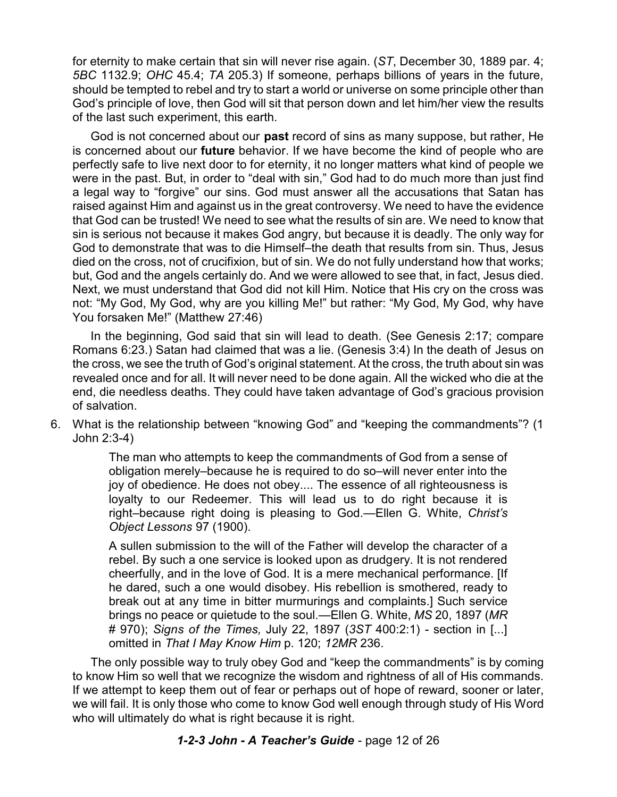for eternity to make certain that sin will never rise again. (*ST*, December 30, 1889 par. 4; *5BC* 1132.9; *OHC* 45.4; *TA* 205.3) If someone, perhaps billions of years in the future, should be tempted to rebel and try to start a world or universe on some principle other than God's principle of love, then God will sit that person down and let him/her view the results of the last such experiment, this earth.

God is not concerned about our **past** record of sins as many suppose, but rather, He is concerned about our **future** behavior. If we have become the kind of people who are perfectly safe to live next door to for eternity, it no longer matters what kind of people we were in the past. But, in order to "deal with sin," God had to do much more than just find a legal way to "forgive" our sins. God must answer all the accusations that Satan has raised against Him and against us in the great controversy. We need to have the evidence that God can be trusted! We need to see what the results of sin are. We need to know that sin is serious not because it makes God angry, but because it is deadly. The only way for God to demonstrate that was to die Himself–the death that results from sin. Thus, Jesus died on the cross, not of crucifixion, but of sin. We do not fully understand how that works; but, God and the angels certainly do. And we were allowed to see that, in fact, Jesus died. Next, we must understand that God did not kill Him. Notice that His cry on the cross was not: "My God, My God, why are you killing Me!" but rather: "My God, My God, why have You forsaken Me!" (Matthew 27:46)

In the beginning, God said that sin will lead to death. (See Genesis 2:17; compare Romans 6:23.) Satan had claimed that was a lie. (Genesis 3:4) In the death of Jesus on the cross, we see the truth of God's original statement. At the cross, the truth about sin was revealed once and for all. It will never need to be done again. All the wicked who die at the end, die needless deaths. They could have taken advantage of God's gracious provision of salvation.

6. What is the relationship between "knowing God" and "keeping the commandments"? (1 John 2:3-4)

> The man who attempts to keep the commandments of God from a sense of obligation merely–because he is required to do so–will never enter into the joy of obedience. He does not obey.... The essence of all righteousness is loyalty to our Redeemer. This will lead us to do right because it is right–because right doing is pleasing to God.—Ellen G. White, *Christ's Object Lessons* 97 (1900).

> A sullen submission to the will of the Father will develop the character of a rebel. By such a one service is looked upon as drudgery. It is not rendered cheerfully, and in the love of God. It is a mere mechanical performance. [If he dared, such a one would disobey. His rebellion is smothered, ready to break out at any time in bitter murmurings and complaints.] Such service brings no peace or quietude to the soul.—Ellen G. White, *MS* 20, 1897 (*MR* # 970); *Signs of the Times,* July 22, 1897 (*3ST* 400:2:1) - section in [...] omitted in *That I May Know Him* p. 120; *12MR* 236.

The only possible way to truly obey God and "keep the commandments" is by coming to know Him so well that we recognize the wisdom and rightness of all of His commands. If we attempt to keep them out of fear or perhaps out of hope of reward, sooner or later, we will fail. It is only those who come to know God well enough through study of His Word who will ultimately do what is right because it is right.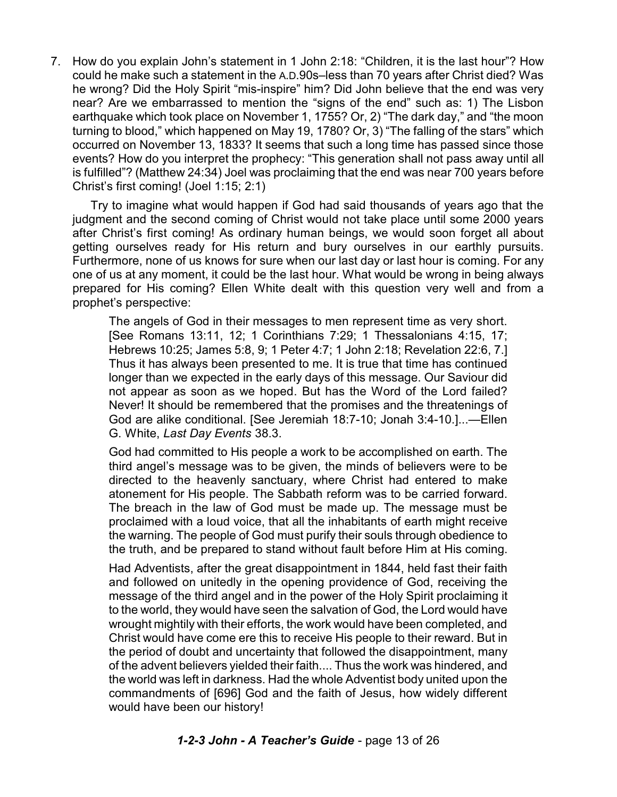7. How do you explain John's statement in 1 John 2:18: "Children, it is the last hour"? How could he make such a statement in the A.D.90s–less than 70 years after Christ died? Was he wrong? Did the Holy Spirit "mis-inspire" him? Did John believe that the end was very near? Are we embarrassed to mention the "signs of the end" such as: 1) The Lisbon earthquake which took place on November 1, 1755? Or, 2) "The dark day," and "the moon turning to blood," which happened on May 19, 1780? Or, 3) "The falling of the stars" which occurred on November 13, 1833? It seems that such a long time has passed since those events? How do you interpret the prophecy: "This generation shall not pass away until all is fulfilled"? (Matthew 24:34) Joel was proclaiming that the end was near 700 years before Christ's first coming! (Joel 1:15; 2:1)

Try to imagine what would happen if God had said thousands of years ago that the judgment and the second coming of Christ would not take place until some 2000 years after Christ's first coming! As ordinary human beings, we would soon forget all about getting ourselves ready for His return and bury ourselves in our earthly pursuits. Furthermore, none of us knows for sure when our last day or last hour is coming. For any one of us at any moment, it could be the last hour. What would be wrong in being always prepared for His coming? Ellen White dealt with this question very well and from a prophet's perspective:

The angels of God in their messages to men represent time as very short. [See Romans 13:11, 12; 1 Corinthians 7:29; 1 Thessalonians 4:15, 17; Hebrews 10:25; James 5:8, 9; 1 Peter 4:7; 1 John 2:18; Revelation 22:6, 7.] Thus it has always been presented to me. It is true that time has continued longer than we expected in the early days of this message. Our Saviour did not appear as soon as we hoped. But has the Word of the Lord failed? Never! It should be remembered that the promises and the threatenings of God are alike conditional. [See Jeremiah 18:7-10; Jonah 3:4-10.]...—Ellen G. White, *Last Day Events* 38.3.

God had committed to His people a work to be accomplished on earth. The third angel's message was to be given, the minds of believers were to be directed to the heavenly sanctuary, where Christ had entered to make atonement for His people. The Sabbath reform was to be carried forward. The breach in the law of God must be made up. The message must be proclaimed with a loud voice, that all the inhabitants of earth might receive the warning. The people of God must purify their souls through obedience to the truth, and be prepared to stand without fault before Him at His coming.

Had Adventists, after the great disappointment in 1844, held fast their faith and followed on unitedly in the opening providence of God, receiving the message of the third angel and in the power of the Holy Spirit proclaiming it to the world, they would have seen the salvation of God, the Lord would have wrought mightily with their efforts, the work would have been completed, and Christ would have come ere this to receive His people to their reward. But in the period of doubt and uncertainty that followed the disappointment, many of the advent believers yielded their faith.... Thus the work was hindered, and the world was left in darkness. Had the whole Adventist body united upon the commandments of [696] God and the faith of Jesus, how widely different would have been our history!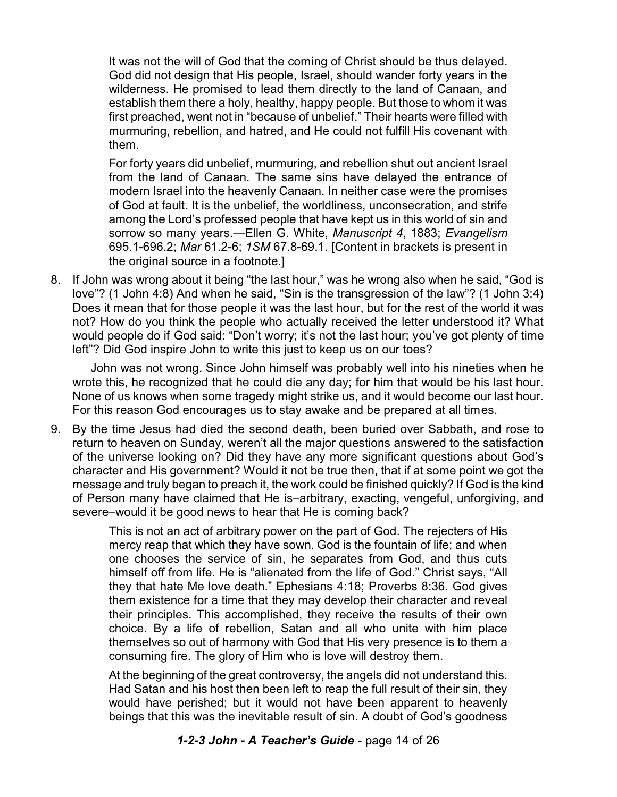It was not the will of God that the coming of Christ should be thus delayed. God did not design that His people, Israel, should wander forty years in the wilderness. He promised to lead them directly to the land of Canaan, and establish them there a holy, healthy, happy people. But those to whom it was first preached, went not in "because of unbelief." Their hearts were filled with murmuring, rebellion, and hatred, and He could not fulfill His covenant with them.

For forty years did unbelief, murmuring, and rebellion shut out ancient Israel from the land of Canaan. The same sins have delayed the entrance of modern Israel into the heavenly Canaan. In neither case were the promises of God at fault. It is the unbelief, the worldliness, unconsecration, and strife among the Lord's professed people that have kept us in this world of sin and sorrow so many years.—Ellen G. White, *Manuscript 4*, 1883; *Evangelism* 695.1-696.2; *Mar* 61.2-6; *1SM* 67.8-69.1. [Content in brackets is present in the original source in a footnote.]

8. If John was wrong about it being "the last hour," was he wrong also when he said, "God is love"? (1 John 4:8) And when he said, "Sin is the transgression of the law"? (1 John 3:4) Does it mean that for those people it was the last hour, but for the rest of the world it was not? How do you think the people who actually received the letter understood it? What would people do if God said: "Don't worry; it's not the last hour; you've got plenty of time left"? Did God inspire John to write this just to keep us on our toes?

John was not wrong. Since John himself was probably well into his nineties when he wrote this, he recognized that he could die any day; for him that would be his last hour. None of us knows when some tragedy might strike us, and it would become our last hour. For this reason God encourages us to stay awake and be prepared at all times.

9. By the time Jesus had died the second death, been buried over Sabbath, and rose to return to heaven on Sunday, weren't all the major questions answered to the satisfaction of the universe looking on? Did they have any more significant questions about God's character and His government? Would it not be true then, that if at some point we got the message and truly began to preach it, the work could be finished quickly? If God is the kind of Person many have claimed that He is–arbitrary, exacting, vengeful, unforgiving, and severe–would it be good news to hear that He is coming back?

> This is not an act of arbitrary power on the part of God. The rejecters of His mercy reap that which they have sown. God is the fountain of life; and when one chooses the service of sin, he separates from God, and thus cuts himself off from life. He is "alienated from the life of God." Christ says, "All they that hate Me love death." Ephesians 4:18; Proverbs 8:36. God gives them existence for a time that they may develop their character and reveal their principles. This accomplished, they receive the results of their own choice. By a life of rebellion, Satan and all who unite with him place themselves so out of harmony with God that His very presence is to them a consuming fire. The glory of Him who is love will destroy them.

> At the beginning of the great controversy, the angels did not understand this. Had Satan and his host then been left to reap the full result of their sin, they would have perished; but it would not have been apparent to heavenly beings that this was the inevitable result of sin. A doubt of God's goodness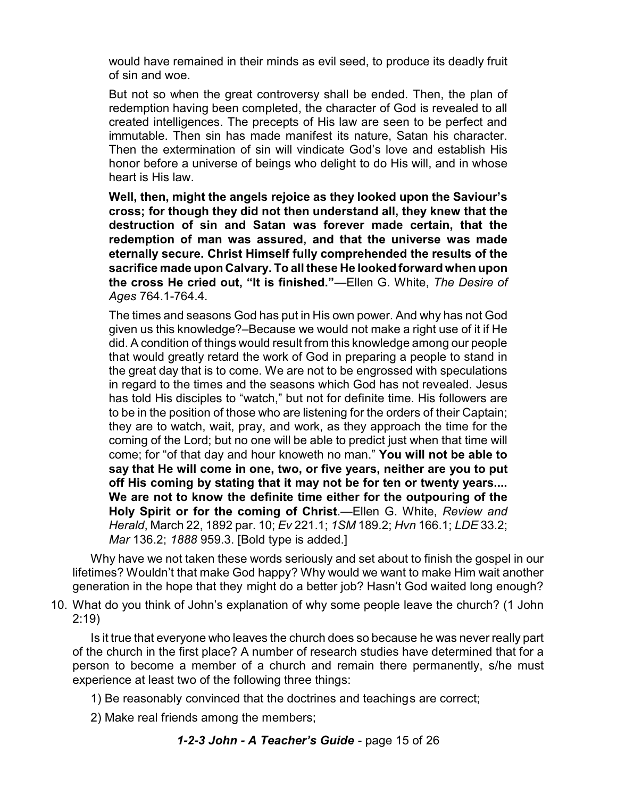would have remained in their minds as evil seed, to produce its deadly fruit of sin and woe.

But not so when the great controversy shall be ended. Then, the plan of redemption having been completed, the character of God is revealed to all created intelligences. The precepts of His law are seen to be perfect and immutable. Then sin has made manifest its nature, Satan his character. Then the extermination of sin will vindicate God's love and establish His honor before a universe of beings who delight to do His will, and in whose heart is His law.

**Well, then, might the angels rejoice as they looked upon the Saviour's cross; for though they did not then understand all, they knew that the destruction of sin and Satan was forever made certain, that the redemption of man was assured, and that the universe was made eternally secure. Christ Himself fully comprehended the results of the sacrifice made upon Calvary. To all these He looked forward when upon the cross He cried out, "It is finished."**—Ellen G. White, *The Desire of Ages* 764.1-764.4.

The times and seasons God has put in His own power. And why has not God given us this knowledge?–Because we would not make a right use of it if He did. A condition of things would result from this knowledge among our people that would greatly retard the work of God in preparing a people to stand in the great day that is to come. We are not to be engrossed with speculations in regard to the times and the seasons which God has not revealed. Jesus has told His disciples to "watch," but not for definite time. His followers are to be in the position of those who are listening for the orders of their Captain; they are to watch, wait, pray, and work, as they approach the time for the coming of the Lord; but no one will be able to predict just when that time will come; for "of that day and hour knoweth no man." **You will not be able to say that He will come in one, two, or five years, neither are you to put off His coming by stating that it may not be for ten or twenty years.... We are not to know the definite time either for the outpouring of the Holy Spirit or for the coming of Christ**.—Ellen G. White, *Review and Herald*, March 22, 1892 par. 10; *Ev* 221.1; *1SM* 189.2; *Hvn* 166.1; *LDE* 33.2; *Mar* 136.2; *1888* 959.3. [Bold type is added.]

Why have we not taken these words seriously and set about to finish the gospel in our lifetimes? Wouldn't that make God happy? Why would we want to make Him wait another generation in the hope that they might do a better job? Hasn't God waited long enough?

10. What do you think of John's explanation of why some people leave the church? (1 John 2:19)

Is it true that everyone who leaves the church does so because he was never really part of the church in the first place? A number of research studies have determined that for a person to become a member of a church and remain there permanently, s/he must experience at least two of the following three things:

- 1) Be reasonably convinced that the doctrines and teachings are correct;
- 2) Make real friends among the members;

*1-2-3 John - A Teacher's Guide* - page 15 of 26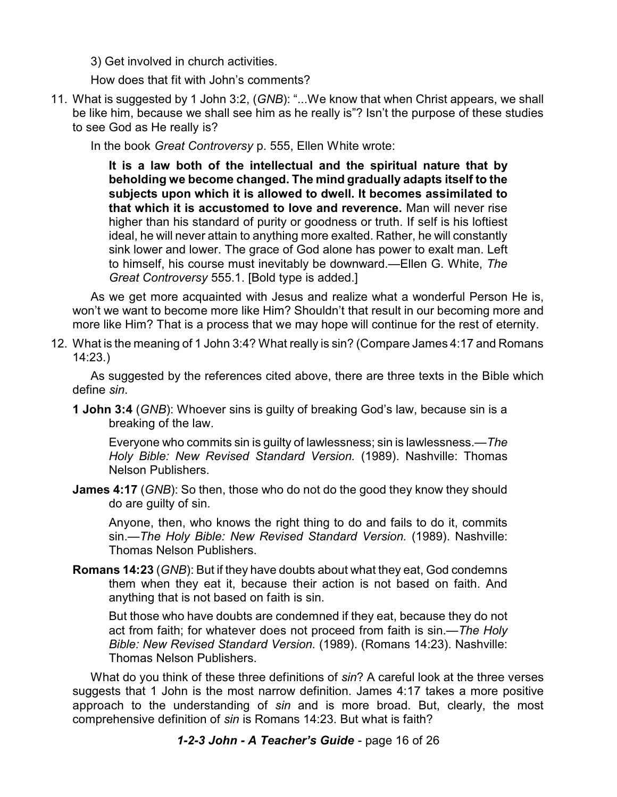3) Get involved in church activities.

How does that fit with John's comments?

11. What is suggested by 1 John 3:2, (*GNB*): "...We know that when Christ appears, we shall be like him, because we shall see him as he really is"? Isn't the purpose of these studies to see God as He really is?

In the book *Great Controversy* p. 555, Ellen White wrote:

**It is a law both of the intellectual and the spiritual nature that by beholding we become changed. The mind gradually adapts itself to the subjects upon which it is allowed to dwell. It becomes assimilated to that which it is accustomed to love and reverence.** Man will never rise higher than his standard of purity or goodness or truth. If self is his loftiest ideal, he will never attain to anything more exalted. Rather, he will constantly sink lower and lower. The grace of God alone has power to exalt man. Left to himself, his course must inevitably be downward.—Ellen G. White, *The Great Controversy* 555.1. [Bold type is added.]

As we get more acquainted with Jesus and realize what a wonderful Person He is, won't we want to become more like Him? Shouldn't that result in our becoming more and more like Him? That is a process that we may hope will continue for the rest of eternity.

12. What is the meaning of 1 John 3:4? What really is sin? (Compare James 4:17 and Romans 14:23.)

As suggested by the references cited above, there are three texts in the Bible which define *sin*.

**1 John 3:4** (*GNB*): Whoever sins is guilty of breaking God's law, because sin is a breaking of the law.

Everyone who commits sin is guilty of lawlessness; sin is lawlessness.—*The Holy Bible: New Revised Standard Version.* (1989). Nashville: Thomas Nelson Publishers.

**James 4:17** (*GNB*): So then, those who do not do the good they know they should do are guilty of sin.

Anyone, then, who knows the right thing to do and fails to do it, commits sin.—*The Holy Bible: New Revised Standard Version.* (1989). Nashville: Thomas Nelson Publishers.

**Romans 14:23** (*GNB*): But if they have doubts about what they eat, God condemns them when they eat it, because their action is not based on faith. And anything that is not based on faith is sin.

But those who have doubts are condemned if they eat, because they do not act from faith; for whatever does not proceed from faith is sin.—*The Holy Bible: New Revised Standard Version.* (1989). (Romans 14:23). Nashville: Thomas Nelson Publishers.

What do you think of these three definitions of *sin*? A careful look at the three verses suggests that 1 John is the most narrow definition. James 4:17 takes a more positive approach to the understanding of *sin* and is more broad. But, clearly, the most comprehensive definition of *sin* is Romans 14:23. But what is faith?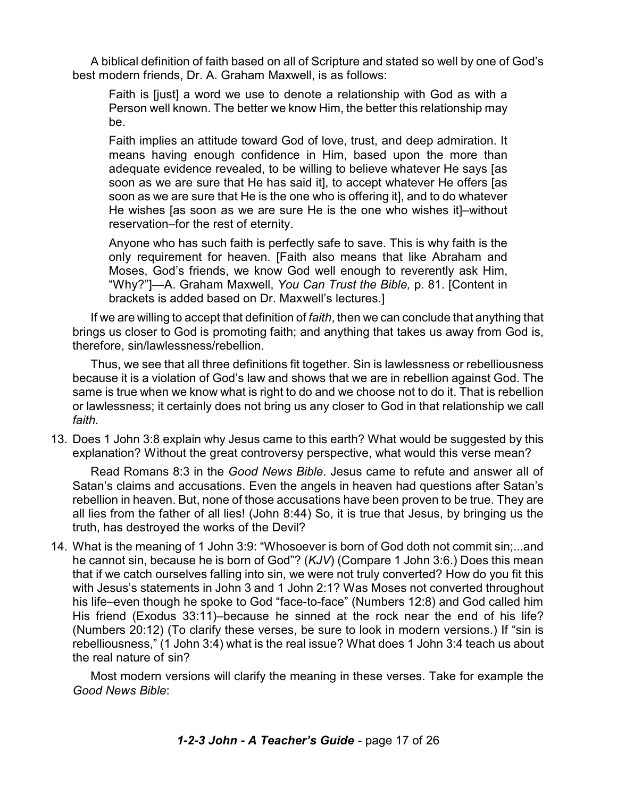A biblical definition of faith based on all of Scripture and stated so well by one of God's best modern friends, Dr. A. Graham Maxwell, is as follows:

Faith is [just] a word we use to denote a relationship with God as with a Person well known. The better we know Him, the better this relationship may be.

Faith implies an attitude toward God of love, trust, and deep admiration. It means having enough confidence in Him, based upon the more than adequate evidence revealed, to be willing to believe whatever He says [as soon as we are sure that He has said it], to accept whatever He offers [as soon as we are sure that He is the one who is offering it], and to do whatever He wishes [as soon as we are sure He is the one who wishes it]–without reservation–for the rest of eternity.

Anyone who has such faith is perfectly safe to save. This is why faith is the only requirement for heaven. [Faith also means that like Abraham and Moses, God's friends, we know God well enough to reverently ask Him, "Why?"]—A. Graham Maxwell, *You Can Trust the Bible,* p. 81. [Content in brackets is added based on Dr. Maxwell's lectures.]

If we are willing to accept that definition of *faith*, then we can conclude that anything that brings us closer to God is promoting faith; and anything that takes us away from God is, therefore, sin/lawlessness/rebellion.

Thus, we see that all three definitions fit together. Sin is lawlessness or rebelliousness because it is a violation of God's law and shows that we are in rebellion against God. The same is true when we know what is right to do and we choose not to do it. That is rebellion or lawlessness; it certainly does not bring us any closer to God in that relationship we call *faith.*

13. Does 1 John 3:8 explain why Jesus came to this earth? What would be suggested by this explanation? Without the great controversy perspective, what would this verse mean?

Read Romans 8:3 in the *Good News Bible*. Jesus came to refute and answer all of Satan's claims and accusations. Even the angels in heaven had questions after Satan's rebellion in heaven. But, none of those accusations have been proven to be true. They are all lies from the father of all lies! (John 8:44) So, it is true that Jesus, by bringing us the truth, has destroyed the works of the Devil?

14. What is the meaning of 1 John 3:9: "Whosoever is born of God doth not commit sin;...and he cannot sin, because he is born of God"? (*KJV*) (Compare 1 John 3:6.) Does this mean that if we catch ourselves falling into sin, we were not truly converted? How do you fit this with Jesus's statements in John 3 and 1 John 2:1? Was Moses not converted throughout his life–even though he spoke to God "face-to-face" (Numbers 12:8) and God called him His friend (Exodus 33:11)–because he sinned at the rock near the end of his life? (Numbers 20:12) (To clarify these verses, be sure to look in modern versions.) If "sin is rebelliousness," (1 John 3:4) what is the real issue? What does 1 John 3:4 teach us about the real nature of sin?

Most modern versions will clarify the meaning in these verses. Take for example the *Good News Bible*: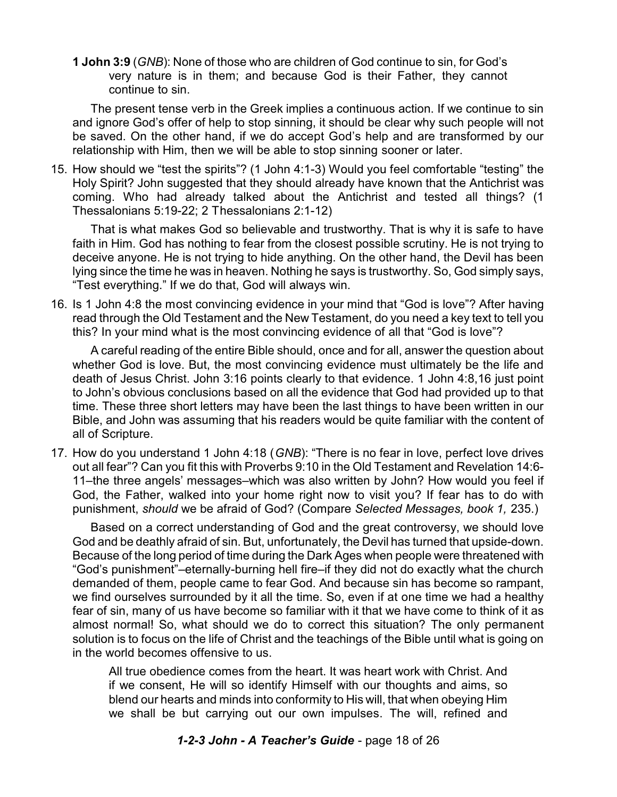**1 John 3:9** (*GNB*): None of those who are children of God continue to sin, for God's very nature is in them; and because God is their Father, they cannot continue to sin.

The present tense verb in the Greek implies a continuous action. If we continue to sin and ignore God's offer of help to stop sinning, it should be clear why such people will not be saved. On the other hand, if we do accept God's help and are transformed by our relationship with Him, then we will be able to stop sinning sooner or later.

15. How should we "test the spirits"? (1 John 4:1-3) Would you feel comfortable "testing" the Holy Spirit? John suggested that they should already have known that the Antichrist was coming. Who had already talked about the Antichrist and tested all things? (1 Thessalonians 5:19-22; 2 Thessalonians 2:1-12)

That is what makes God so believable and trustworthy. That is why it is safe to have faith in Him. God has nothing to fear from the closest possible scrutiny. He is not trying to deceive anyone. He is not trying to hide anything. On the other hand, the Devil has been lying since the time he was in heaven. Nothing he says is trustworthy. So, God simply says, "Test everything." If we do that, God will always win.

16. Is 1 John 4:8 the most convincing evidence in your mind that "God is love"? After having read through the Old Testament and the New Testament, do you need a key text to tell you this? In your mind what is the most convincing evidence of all that "God is love"?

A careful reading of the entire Bible should, once and for all, answer the question about whether God is love. But, the most convincing evidence must ultimately be the life and death of Jesus Christ. John 3:16 points clearly to that evidence. 1 John 4:8,16 just point to John's obvious conclusions based on all the evidence that God had provided up to that time. These three short letters may have been the last things to have been written in our Bible, and John was assuming that his readers would be quite familiar with the content of all of Scripture.

17. How do you understand 1 John 4:18 (*GNB*): "There is no fear in love, perfect love drives out all fear"? Can you fit this with Proverbs 9:10 in the Old Testament and Revelation 14:6- 11–the three angels' messages–which was also written by John? How would you feel if God, the Father, walked into your home right now to visit you? If fear has to do with punishment, *should* we be afraid of God? (Compare *Selected Messages, book 1,* 235.)

Based on a correct understanding of God and the great controversy, we should love God and be deathly afraid of sin. But, unfortunately, the Devil has turned that upside-down. Because of the long period of time during the Dark Ages when people were threatened with "God's punishment"–eternally-burning hell fire–if they did not do exactly what the church demanded of them, people came to fear God. And because sin has become so rampant, we find ourselves surrounded by it all the time. So, even if at one time we had a healthy fear of sin, many of us have become so familiar with it that we have come to think of it as almost normal! So, what should we do to correct this situation? The only permanent solution is to focus on the life of Christ and the teachings of the Bible until what is going on in the world becomes offensive to us.

All true obedience comes from the heart. It was heart work with Christ. And if we consent, He will so identify Himself with our thoughts and aims, so blend our hearts and minds into conformity to His will, that when obeying Him we shall be but carrying out our own impulses. The will, refined and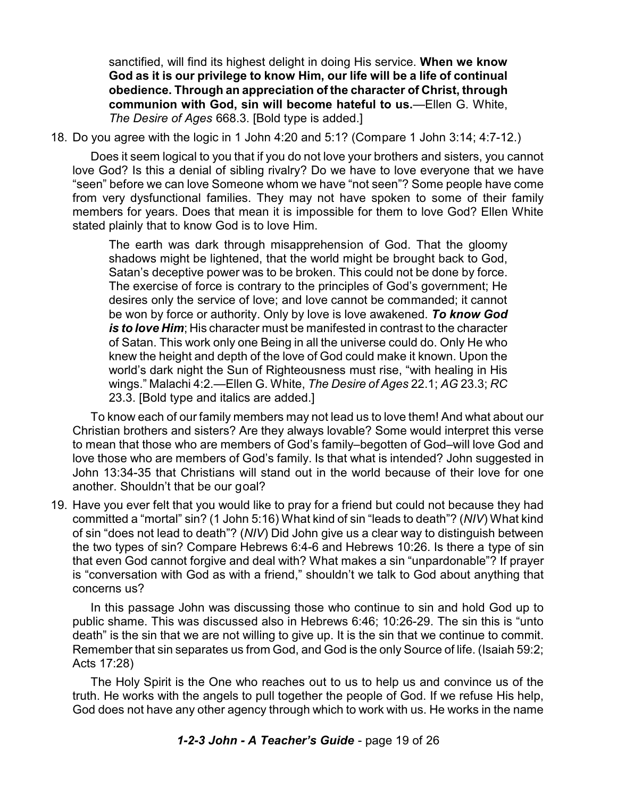sanctified, will find its highest delight in doing His service. **When we know God as it is our privilege to know Him, our life will be a life of continual obedience. Through an appreciation of the character of Christ, through communion with God, sin will become hateful to us.**—Ellen G. White, *The Desire of Ages* 668.3. [Bold type is added.]

18. Do you agree with the logic in 1 John 4:20 and 5:1? (Compare 1 John 3:14; 4:7-12.)

Does it seem logical to you that if you do not love your brothers and sisters, you cannot love God? Is this a denial of sibling rivalry? Do we have to love everyone that we have "seen" before we can love Someone whom we have "not seen"? Some people have come from very dysfunctional families. They may not have spoken to some of their family members for years. Does that mean it is impossible for them to love God? Ellen White stated plainly that to know God is to love Him.

The earth was dark through misapprehension of God. That the gloomy shadows might be lightened, that the world might be brought back to God, Satan's deceptive power was to be broken. This could not be done by force. The exercise of force is contrary to the principles of God's government; He desires only the service of love; and love cannot be commanded; it cannot be won by force or authority. Only by love is love awakened. *To know God is to love Him*; His character must be manifested in contrast to the character of Satan. This work only one Being in all the universe could do. Only He who knew the height and depth of the love of God could make it known. Upon the world's dark night the Sun of Righteousness must rise, "with healing in His wings." Malachi 4:2.—Ellen G. White, *The Desire of Ages* 22.1; *AG* 23.3; *RC* 23.3. [Bold type and italics are added.]

To know each of our family members may not lead us to love them! And what about our Christian brothers and sisters? Are they always lovable? Some would interpret this verse to mean that those who are members of God's family–begotten of God–will love God and love those who are members of God's family. Is that what is intended? John suggested in John 13:34-35 that Christians will stand out in the world because of their love for one another. Shouldn't that be our goal?

19. Have you ever felt that you would like to pray for a friend but could not because they had committed a "mortal" sin? (1 John 5:16) What kind of sin "leads to death"? (*NIV*) What kind of sin "does not lead to death"? (*NIV*) Did John give us a clear way to distinguish between the two types of sin? Compare Hebrews 6:4-6 and Hebrews 10:26. Is there a type of sin that even God cannot forgive and deal with? What makes a sin "unpardonable"? If prayer is "conversation with God as with a friend," shouldn't we talk to God about anything that concerns us?

In this passage John was discussing those who continue to sin and hold God up to public shame. This was discussed also in Hebrews 6:46; 10:26-29. The sin this is "unto death" is the sin that we are not willing to give up. It is the sin that we continue to commit. Remember that sin separates us from God, and God is the only Source of life. (Isaiah 59:2; Acts 17:28)

The Holy Spirit is the One who reaches out to us to help us and convince us of the truth. He works with the angels to pull together the people of God. If we refuse His help, God does not have any other agency through which to work with us. He works in the name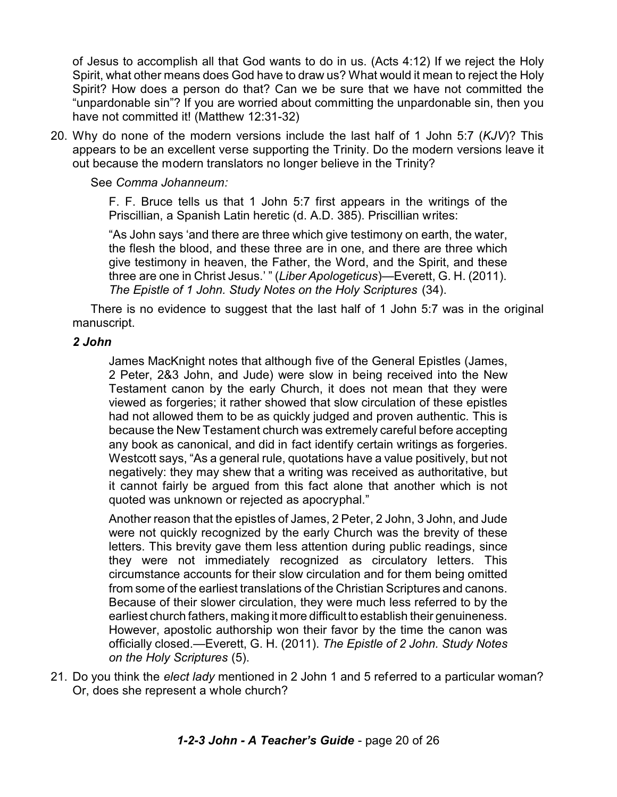of Jesus to accomplish all that God wants to do in us. (Acts 4:12) If we reject the Holy Spirit, what other means does God have to draw us? What would it mean to reject the Holy Spirit? How does a person do that? Can we be sure that we have not committed the "unpardonable sin"? If you are worried about committing the unpardonable sin, then you have not committed it! (Matthew 12:31-32)

20. Why do none of the modern versions include the last half of 1 John 5:7 (*KJV*)? This appears to be an excellent verse supporting the Trinity. Do the modern versions leave it out because the modern translators no longer believe in the Trinity?

See *Comma Johanneum:*

F. F. Bruce tells us that 1 John 5:7 first appears in the writings of the Priscillian, a Spanish Latin heretic (d. A.D. 385). Priscillian writes:

"As John says 'and there are three which give testimony on earth, the water, the flesh the blood, and these three are in one, and there are three which give testimony in heaven, the Father, the Word, and the Spirit, and these three are one in Christ Jesus.' " (*Liber Apologeticus*)—Everett, G. H. (2011). *The Epistle of 1 John. Study Notes on the Holy Scriptures* (34).

There is no evidence to suggest that the last half of 1 John 5:7 was in the original manuscript.

# *2 John*

James MacKnight notes that although five of the General Epistles (James, 2 Peter, 2&3 John, and Jude) were slow in being received into the New Testament canon by the early Church, it does not mean that they were viewed as forgeries; it rather showed that slow circulation of these epistles had not allowed them to be as quickly judged and proven authentic. This is because the New Testament church was extremely careful before accepting any book as canonical, and did in fact identify certain writings as forgeries. Westcott says, "As a general rule, quotations have a value positively, but not negatively: they may shew that a writing was received as authoritative, but it cannot fairly be argued from this fact alone that another which is not quoted was unknown or rejected as apocryphal."

Another reason that the epistles of James, 2 Peter, 2 John, 3 John, and Jude were not quickly recognized by the early Church was the brevity of these letters. This brevity gave them less attention during public readings, since they were not immediately recognized as circulatory letters. This circumstance accounts for their slow circulation and for them being omitted from some of the earliest translations of the Christian Scriptures and canons. Because of their slower circulation, they were much less referred to by the earliest church fathers, making it more difficult to establish their genuineness. However, apostolic authorship won their favor by the time the canon was officially closed.—Everett, G. H. (2011). *The Epistle of 2 John. Study Notes on the Holy Scriptures* (5).

21. Do you think the *elect lady* mentioned in 2 John 1 and 5 referred to a particular woman? Or, does she represent a whole church?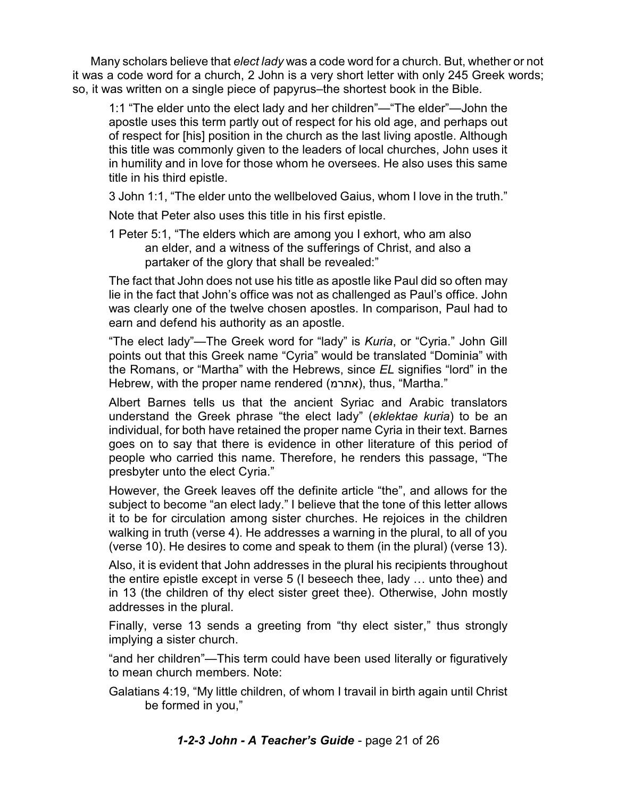Many scholars believe that *elect lady* was a code word for a church. But, whether or not it was a code word for a church, 2 John is a very short letter with only 245 Greek words; so, it was written on a single piece of papyrus–the shortest book in the Bible.

1:1 "The elder unto the elect lady and her children"—"The elder"—John the apostle uses this term partly out of respect for his old age, and perhaps out of respect for [his] position in the church as the last living apostle. Although this title was commonly given to the leaders of local churches, John uses it in humility and in love for those whom he oversees. He also uses this same title in his third epistle.

3 John 1:1, "The elder unto the wellbeloved Gaius, whom I love in the truth."

Note that Peter also uses this title in his first epistle.

1 Peter 5:1, "The elders which are among you I exhort, who am also an elder, and a witness of the sufferings of Christ, and also a partaker of the glory that shall be revealed:"

The fact that John does not use his title as apostle like Paul did so often may lie in the fact that John's office was not as challenged as Paul's office. John was clearly one of the twelve chosen apostles. In comparison, Paul had to earn and defend his authority as an apostle.

"The elect lady"—The Greek word for "lady" is *Kuria*, or "Cyria." John Gill points out that this Greek name "Cyria" would be translated "Dominia" with the Romans, or "Martha" with the Hebrews, since *EL* signifies "lord" in the Hebrew, with the proper name rendered (אתרמ), thus, "Martha."

Albert Barnes tells us that the ancient Syriac and Arabic translators understand the Greek phrase "the elect lady" (*eklektae kuria*) to be an individual, for both have retained the proper name Cyria in their text. Barnes goes on to say that there is evidence in other literature of this period of people who carried this name. Therefore, he renders this passage, "The presbyter unto the elect Cyria."

However, the Greek leaves off the definite article "the", and allows for the subject to become "an elect lady." I believe that the tone of this letter allows it to be for circulation among sister churches. He rejoices in the children walking in truth (verse 4). He addresses a warning in the plural, to all of you (verse 10). He desires to come and speak to them (in the plural) (verse 13).

Also, it is evident that John addresses in the plural his recipients throughout the entire epistle except in verse 5 (I beseech thee, lady … unto thee) and in 13 (the children of thy elect sister greet thee). Otherwise, John mostly addresses in the plural.

Finally, verse 13 sends a greeting from "thy elect sister," thus strongly implying a sister church.

"and her children"—This term could have been used literally or figuratively to mean church members. Note:

Galatians 4:19, "My little children, of whom I travail in birth again until Christ be formed in you,"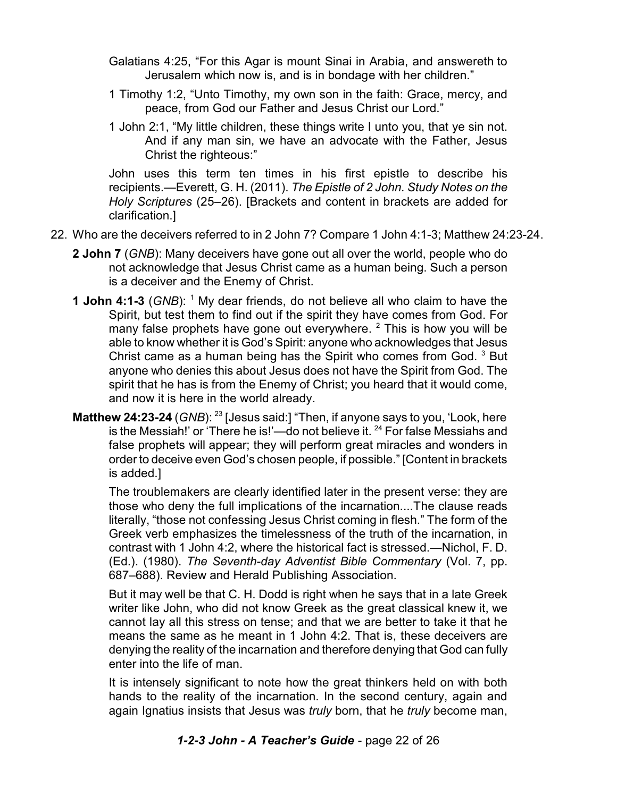- Galatians 4:25, "For this Agar is mount Sinai in Arabia, and answereth to Jerusalem which now is, and is in bondage with her children."
- 1 Timothy 1:2, "Unto Timothy, my own son in the faith: Grace, mercy, and peace, from God our Father and Jesus Christ our Lord."
- 1 John 2:1, "My little children, these things write I unto you, that ye sin not. And if any man sin, we have an advocate with the Father, Jesus Christ the righteous:"

John uses this term ten times in his first epistle to describe his recipients.—Everett, G. H. (2011). *The Epistle of 2 John. Study Notes on the Holy Scriptures* (25–26). [Brackets and content in brackets are added for clarification.]

- 22. Who are the deceivers referred to in 2 John 7? Compare 1 John 4:1-3; Matthew 24:23-24.
	- **2 John 7** (*GNB*): Many deceivers have gone out all over the world, people who do not acknowledge that Jesus Christ came as a human being. Such a person is a deceiver and the Enemy of Christ.
	- **1 John 4:1-3** (*GNB*): <sup>1</sup> My dear friends, do not believe all who claim to have the Spirit, but test them to find out if the spirit they have comes from God. For many false prophets have gone out everywhere. <sup>2</sup> This is how you will be able to know whether it is God's Spirit: anyone who acknowledges that Jesus Christ came as a human being has the Spirit who comes from God. <sup>3</sup> But anyone who denies this about Jesus does not have the Spirit from God. The spirit that he has is from the Enemy of Christ; you heard that it would come, and now it is here in the world already.
	- **Matthew 24:23-24** (*GNB*): <sup>23</sup> [Jesus said:] "Then, if anyone says to you, 'Look, here is the Messiah!' or 'There he is!'—do not believe it.  $^{24}$  For false Messiahs and false prophets will appear; they will perform great miracles and wonders in order to deceive even God's chosen people, if possible." [Content in brackets is added.]

The troublemakers are clearly identified later in the present verse: they are those who deny the full implications of the incarnation....The clause reads literally, "those not confessing Jesus Christ coming in flesh." The form of the Greek verb emphasizes the timelessness of the truth of the incarnation, in contrast with 1 John 4:2, where the historical fact is stressed.—Nichol, F. D. (Ed.). (1980). *The Seventh-day Adventist Bible Commentary* (Vol. 7, pp. 687–688). Review and Herald Publishing Association.

But it may well be that C. H. Dodd is right when he says that in a late Greek writer like John, who did not know Greek as the great classical knew it, we cannot lay all this stress on tense; and that we are better to take it that he means the same as he meant in 1 John 4:2. That is, these deceivers are denying the reality of the incarnation and therefore denying that God can fully enter into the life of man.

It is intensely significant to note how the great thinkers held on with both hands to the reality of the incarnation. In the second century, again and again Ignatius insists that Jesus was *truly* born, that he *truly* become man,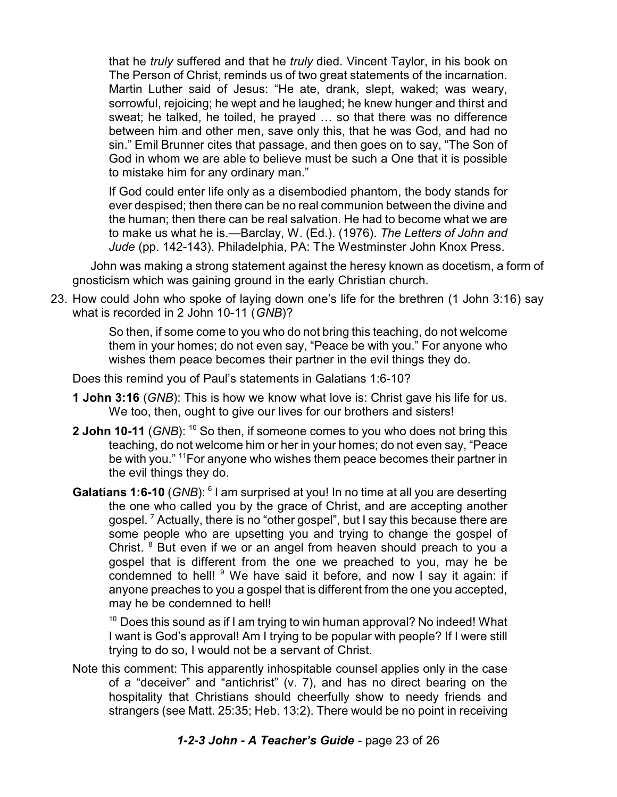that he *truly* suffered and that he *truly* died. Vincent Taylor, in his book on The Person of Christ, reminds us of two great statements of the incarnation. Martin Luther said of Jesus: "He ate, drank, slept, waked; was weary, sorrowful, rejoicing; he wept and he laughed; he knew hunger and thirst and sweat; he talked, he toiled, he prayed … so that there was no difference between him and other men, save only this, that he was God, and had no sin." Emil Brunner cites that passage, and then goes on to say, "The Son of God in whom we are able to believe must be such a One that it is possible to mistake him for any ordinary man."

If God could enter life only as a disembodied phantom, the body stands for ever despised; then there can be no real communion between the divine and the human; then there can be real salvation. He had to become what we are to make us what he is.—Barclay, W. (Ed.). (1976). *The Letters of John and Jude* (pp. 142-143). Philadelphia, PA: The Westminster John Knox Press.

John was making a strong statement against the heresy known as docetism, a form of gnosticism which was gaining ground in the early Christian church.

23. How could John who spoke of laying down one's life for the brethren (1 John 3:16) say what is recorded in 2 John 10-11 (*GNB*)?

> So then, if some come to you who do not bring this teaching, do not welcome them in your homes; do not even say, "Peace be with you." For anyone who wishes them peace becomes their partner in the evil things they do.

Does this remind you of Paul's statements in Galatians 1:6-10?

- **1 John 3:16** (*GNB*): This is how we know what love is: Christ gave his life for us. We too, then, ought to give our lives for our brothers and sisters!
- **2 John 10-11** (*GNB*): <sup>10</sup> So then, if someone comes to you who does not bring this teaching, do not welcome him or her in your homes; do not even say, "Peace be with you." <sup>11</sup>For anyone who wishes them peace becomes their partner in the evil things they do.
- Galatians 1:6-10 (GNB): <sup>6</sup> I am surprised at you! In no time at all you are deserting the one who called you by the grace of Christ, and are accepting another gospel.  $<sup>7</sup>$  Actually, there is no "other gospel", but I say this because there are</sup> some people who are upsetting you and trying to change the gospel of Christ. <sup>8</sup> But even if we or an angel from heaven should preach to you a gospel that is different from the one we preached to you, may he be condemned to hell! <sup>9</sup> We have said it before, and now I say it again: if anyone preaches to you a gospel that is different from the one you accepted, may he be condemned to hell!

 $10$  Does this sound as if I am trying to win human approval? No indeed! What I want is God's approval! Am I trying to be popular with people? If I were still trying to do so, I would not be a servant of Christ.

Note this comment: This apparently inhospitable counsel applies only in the case of a "deceiver" and "antichrist" (v. 7), and has no direct bearing on the hospitality that Christians should cheerfully show to needy friends and strangers (see Matt. 25:35; Heb. 13:2). There would be no point in receiving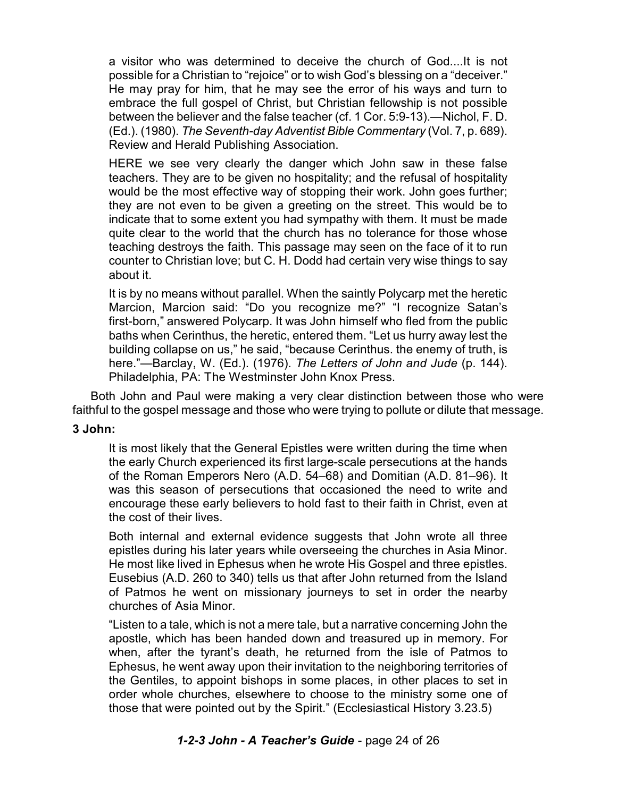a visitor who was determined to deceive the church of God....It is not possible for a Christian to "rejoice" or to wish God's blessing on a "deceiver." He may pray for him, that he may see the error of his ways and turn to embrace the full gospel of Christ, but Christian fellowship is not possible between the believer and the false teacher (cf. 1 Cor. 5:9-13).—Nichol, F. D. (Ed.). (1980). *The Seventh-day Adventist Bible Commentary* (Vol. 7, p. 689). Review and Herald Publishing Association.

HERE we see very clearly the danger which John saw in these false teachers. They are to be given no hospitality; and the refusal of hospitality would be the most effective way of stopping their work. John goes further; they are not even to be given a greeting on the street. This would be to indicate that to some extent you had sympathy with them. It must be made quite clear to the world that the church has no tolerance for those whose teaching destroys the faith. This passage may seen on the face of it to run counter to Christian love; but C. H. Dodd had certain very wise things to say about it.

It is by no means without parallel. When the saintly Polycarp met the heretic Marcion, Marcion said: "Do you recognize me?" "I recognize Satan's first-born," answered Polycarp. It was John himself who fled from the public baths when Cerinthus, the heretic, entered them. "Let us hurry away lest the building collapse on us," he said, "because Cerinthus. the enemy of truth, is here."—Barclay, W. (Ed.). (1976). *The Letters of John and Jude* (p. 144). Philadelphia, PA: The Westminster John Knox Press.

Both John and Paul were making a very clear distinction between those who were faithful to the gospel message and those who were trying to pollute or dilute that message.

### **3 John:**

It is most likely that the General Epistles were written during the time when the early Church experienced its first large-scale persecutions at the hands of the Roman Emperors Nero (A.D. 54–68) and Domitian (A.D. 81–96). It was this season of persecutions that occasioned the need to write and encourage these early believers to hold fast to their faith in Christ, even at the cost of their lives.

Both internal and external evidence suggests that John wrote all three epistles during his later years while overseeing the churches in Asia Minor. He most like lived in Ephesus when he wrote His Gospel and three epistles. Eusebius (A.D. 260 to 340) tells us that after John returned from the Island of Patmos he went on missionary journeys to set in order the nearby churches of Asia Minor.

"Listen to a tale, which is not a mere tale, but a narrative concerning John the apostle, which has been handed down and treasured up in memory. For when, after the tyrant's death, he returned from the isle of Patmos to Ephesus, he went away upon their invitation to the neighboring territories of the Gentiles, to appoint bishops in some places, in other places to set in order whole churches, elsewhere to choose to the ministry some one of those that were pointed out by the Spirit." (Ecclesiastical History 3.23.5)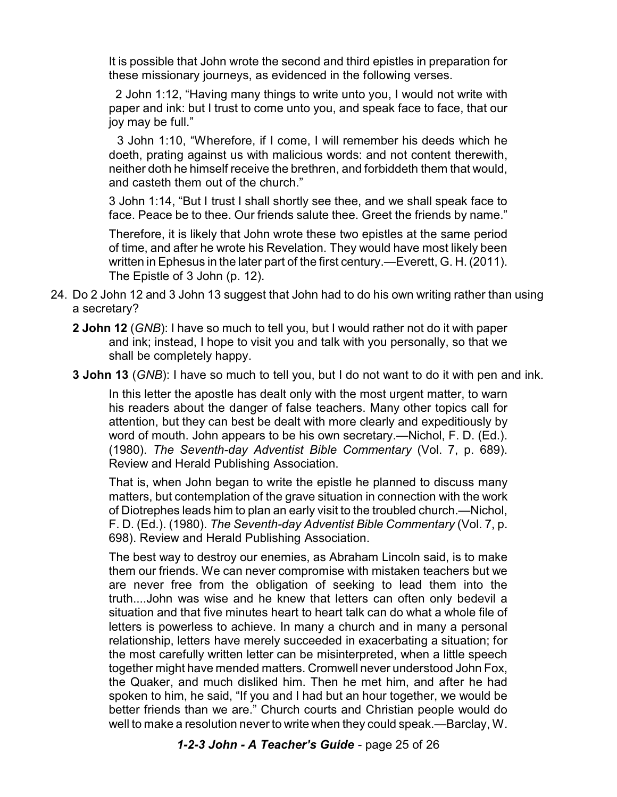It is possible that John wrote the second and third epistles in preparation for these missionary journeys, as evidenced in the following verses.

 2 John 1:12, "Having many things to write unto you, I would not write with paper and ink: but I trust to come unto you, and speak face to face, that our joy may be full."

3 John 1:10, "Wherefore, if I come, I will remember his deeds which he doeth, prating against us with malicious words: and not content therewith, neither doth he himself receive the brethren, and forbiddeth them that would, and casteth them out of the church."

3 John 1:14, "But I trust I shall shortly see thee, and we shall speak face to face. Peace be to thee. Our friends salute thee. Greet the friends by name."

Therefore, it is likely that John wrote these two epistles at the same period of time, and after he wrote his Revelation. They would have most likely been written in Ephesus in the later part of the first century.—Everett, G. H. (2011). The Epistle of 3 John (p. 12).

- 24. Do 2 John 12 and 3 John 13 suggest that John had to do his own writing rather than using a secretary?
	- **2 John 12** (*GNB*): I have so much to tell you, but I would rather not do it with paper and ink; instead, I hope to visit you and talk with you personally, so that we shall be completely happy.
	- **3 John 13** (*GNB*): I have so much to tell you, but I do not want to do it with pen and ink.

In this letter the apostle has dealt only with the most urgent matter, to warn his readers about the danger of false teachers. Many other topics call for attention, but they can best be dealt with more clearly and expeditiously by word of mouth. John appears to be his own secretary.—Nichol, F. D. (Ed.). (1980). *The Seventh-day Adventist Bible Commentary* (Vol. 7, p. 689). Review and Herald Publishing Association.

That is, when John began to write the epistle he planned to discuss many matters, but contemplation of the grave situation in connection with the work of Diotrephes leads him to plan an early visit to the troubled church.—Nichol, F. D. (Ed.). (1980). *The Seventh-day Adventist Bible Commentary* (Vol. 7, p. 698). Review and Herald Publishing Association.

The best way to destroy our enemies, as Abraham Lincoln said, is to make them our friends. We can never compromise with mistaken teachers but we are never free from the obligation of seeking to lead them into the truth....John was wise and he knew that letters can often only bedevil a situation and that five minutes heart to heart talk can do what a whole file of letters is powerless to achieve. In many a church and in many a personal relationship, letters have merely succeeded in exacerbating a situation; for the most carefully written letter can be misinterpreted, when a little speech together might have mended matters. Cromwell never understood John Fox, the Quaker, and much disliked him. Then he met him, and after he had spoken to him, he said, "If you and I had but an hour together, we would be better friends than we are." Church courts and Christian people would do well to make a resolution never to write when they could speak.—Barclay, W.